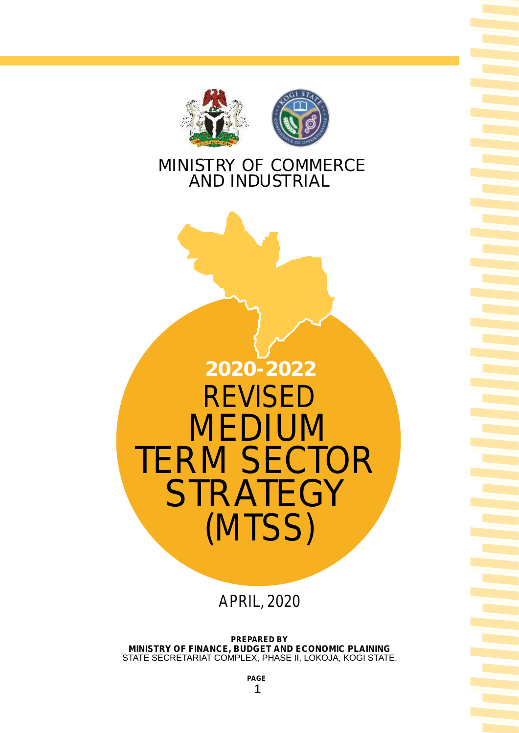



## MINISTRY OF COMMERCE AND INDUSTRIAL



APRIL, 2020

**PREPARED BY MINISTRY OF FINANCE, BUDGET AND ECONOMIC PLAINING**  STATE SECRETARIAT COMPLEX, PHASE II, LOKOJA, KOGI STATE.

**PAGE**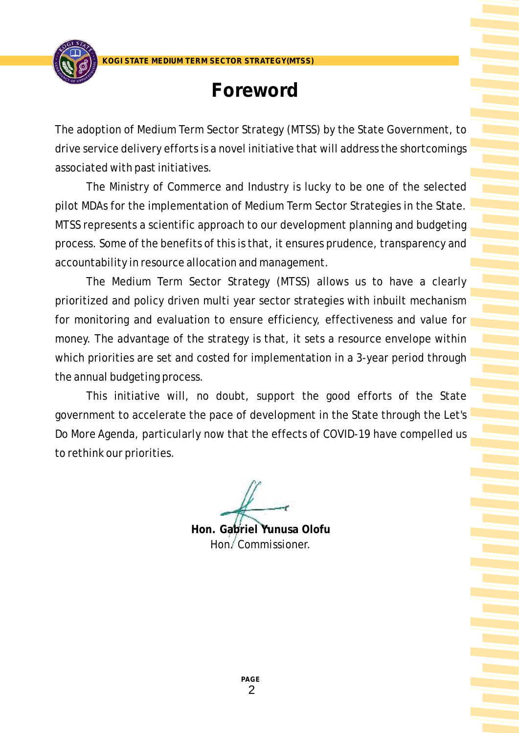

The adoption of Medium Term Sector Strategy (MTSS) by the State Government, to drive service delivery efforts is a novel initiative that will address the shortcomings associated with past initiatives.

The Ministry of Commerce and Industry is lucky to be one of the selected pilot MDAs for the implementation of Medium Term Sector Strategies in the State. MTSS represents a scientific approach to our development planning and budgeting process. Some of the benefits of this is that, it ensures prudence, transparency and accountability in resource allocation and management.

The Medium Term Sector Strategy (MTSS) allows us to have a clearly prioritized and policy driven multi year sector strategies with inbuilt mechanism for monitoring and evaluation to ensure efficiency, effectiveness and value for money. The advantage of the strategy is that, it sets a resource envelope within which priorities are set and costed for implementation in a 3-year period through the annual budgeting process.

This initiative will, no doubt, support the good efforts of the State government to accelerate the pace of development in the State through the Let's Do More Agenda, particularly now that the effects of COVID-19 have compelled us to rethink our priorities.

**Hon. Gabriel Yunusa Olofu** *Hon. Commissioner.*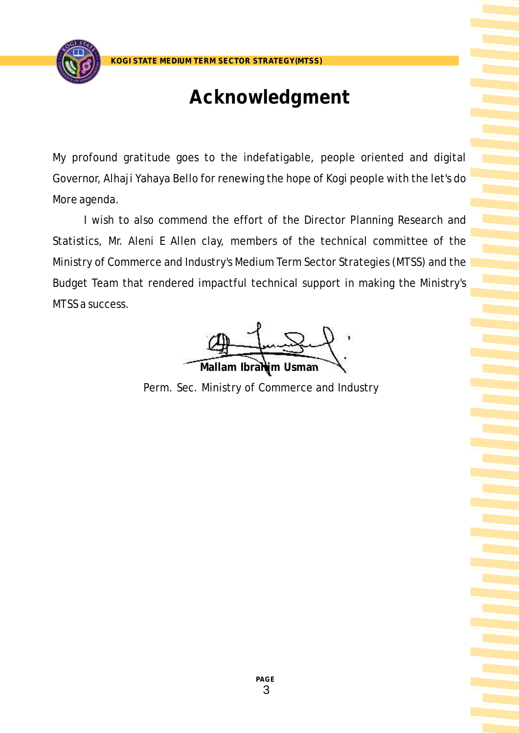

**Acknowledgment**

**KOGI STATE MEDIUM TERM SECTOR STRATEGY(MTSS)**

My profound gratitude goes to the indefatigable, people oriented and digital Governor, Alhaji Yahaya Bello for renewing the hope of Kogi people with the let's do More agenda.

I wish to also commend the effort of the Director Planning Research and Statistics, Mr. Aleni E Allen clay, members of the technical committee of the Ministry of Commerce and Industry's Medium Term Sector Strategies (MTSS) and the Budget Team that rendered impactful technical support in making the Ministry's MTSS a success.

**Mallam Ibrahim Usman**

Perm. Sec. Ministry of Commerce and Industry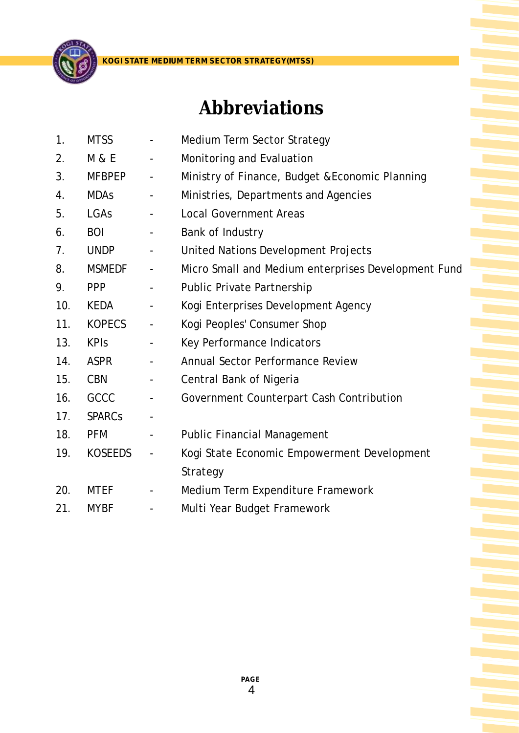

# **Abbreviations**

| 1.  | <b>MTSS</b>    |                              | Medium Term Sector Strategy                         |
|-----|----------------|------------------------------|-----------------------------------------------------|
| 2.  | M & E          | $\overline{\phantom{a}}$     | Monitoring and Evaluation                           |
| 3.  | <b>MFBPEP</b>  | $\blacksquare$               | Ministry of Finance, Budget & Economic Planning     |
| 4.  | <b>MDAs</b>    | $\overline{\phantom{a}}$     | Ministries, Departments and Agencies                |
| 5.  | LGAs           | -                            | <b>Local Government Areas</b>                       |
| 6.  | <b>BOI</b>     | $\overline{\phantom{0}}$     | Bank of Industry                                    |
| 7.  | <b>UNDP</b>    | $\blacksquare$               | United Nations Development Projects                 |
| 8.  | <b>MSMEDF</b>  | $\overline{\phantom{a}}$     | Micro Small and Medium enterprises Development Fund |
| 9.  | <b>PPP</b>     | $\overline{\phantom{a}}$     | Public Private Partnership                          |
| 10. | <b>KEDA</b>    | $\overline{\phantom{a}}$     | Kogi Enterprises Development Agency                 |
| 11. | <b>KOPECS</b>  | $\qquad \qquad \blacksquare$ | Kogi Peoples' Consumer Shop                         |
| 13. | <b>KPIs</b>    | $\overline{\phantom{a}}$     | Key Performance Indicators                          |
| 14. | <b>ASPR</b>    | $\overline{\phantom{0}}$     | Annual Sector Performance Review                    |
| 15. | <b>CBN</b>     | $\overline{\phantom{a}}$     | Central Bank of Nigeria                             |
| 16. | GCCC           | $\overline{\phantom{0}}$     | Government Counterpart Cash Contribution            |
| 17. | <b>SPARCS</b>  |                              |                                                     |
| 18. | <b>PFM</b>     | $\overline{\phantom{a}}$     | <b>Public Financial Management</b>                  |
| 19. | <b>KOSEEDS</b> | $\blacksquare$               | Kogi State Economic Empowerment Development         |
|     |                |                              | Strategy                                            |
| 20. | <b>MTEF</b>    | -                            | Medium Term Expenditure Framework                   |
| 21. | <b>MYBF</b>    |                              | Multi Year Budget Framework                         |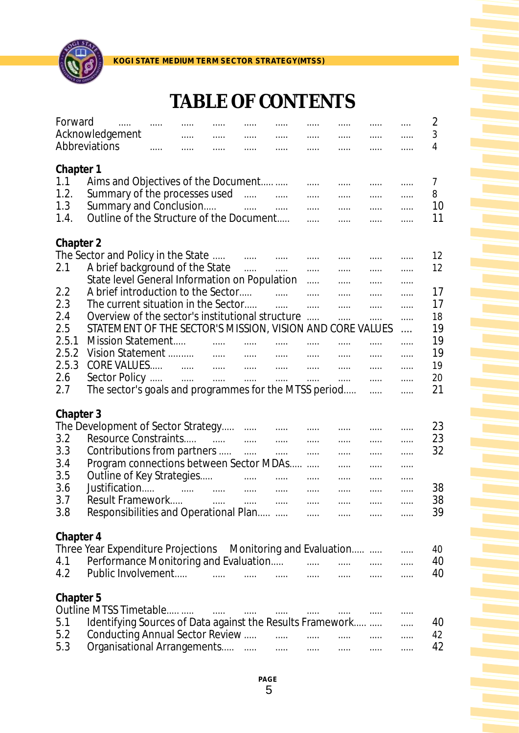

# **TABLE OF CONTENTS**

| Forward<br>Acknowledgement<br>Abbreviations                                                                                                                                                                                                   | المنتجات المنتجات المناد | $\cdots$<br>$\sim 100$ and $\sim 100$                      | $\cdots$<br>$\mathcal{L}_{\text{max}}$ , and $\mathcal{L}_{\text{max}}$ | $\sim$ 1000 and 1000 $\sim$<br>$\mathcal{L}_{\text{max}}$ , and $\mathcal{L}_{\text{max}}$<br>$\mathbf{r}$ and $\mathbf{r}$ are the contract of $\mathbf{r}$ | $\dots$ . $\dots$<br>$\sim 100$ and $\sim 100$ | $\cdots$<br>$\sim 100$ and $\sim 100$<br>$\ldots$ . $\ldots$ | $\ldots$<br>and the company of the company of the company<br><b>Savan Common</b>                                    | $\cdots$<br><b>Save Common</b>                          | $\cdots$<br>$\ldots$ .   | $\overline{2}$<br>3<br>4       |
|-----------------------------------------------------------------------------------------------------------------------------------------------------------------------------------------------------------------------------------------------|--------------------------|------------------------------------------------------------|-------------------------------------------------------------------------|--------------------------------------------------------------------------------------------------------------------------------------------------------------|------------------------------------------------|--------------------------------------------------------------|---------------------------------------------------------------------------------------------------------------------|---------------------------------------------------------|--------------------------|--------------------------------|
| Chapter 1<br>Aims and Objectives of the Document<br>1.1<br>1.2.<br>Summary of the processes used<br>Summary and Conclusion<br>1.3<br>Outline of the Structure of the Document<br>1.4.                                                         |                          |                                                            |                                                                         | and the company                                                                                                                                              |                                                | $\mathbf{r}_{\text{max}}$<br>المنتبذ                         | $\ldots$ . $\ldots$ . $\ldots$ . $\ldots$ . $\ldots$<br>$\mathbf{r}$ and $\mathbf{r}$<br>$\ldots$                   | <b>Service</b> Contractor<br>$\ldots$ .<br>أأراد المتمد | $\ldots$ .<br>$\ldots$ . | $\mathcal{I}$<br>8<br>10<br>11 |
| Chapter 2                                                                                                                                                                                                                                     |                          |                                                            |                                                                         |                                                                                                                                                              |                                                |                                                              |                                                                                                                     |                                                         | $\ldots$ .               |                                |
| A brief background of the State<br>2.1                                                                                                                                                                                                        |                          |                                                            |                                                                         |                                                                                                                                                              |                                                |                                                              | <b>Service</b>                                                                                                      | $\ldots$                                                | $\cdots$<br>$\cdots$     | 12<br>12                       |
| State level General Information on Population<br>A brief introduction to the Sector <b>Contrary the Sector Contrary and Section</b><br>2.2                                                                                                    |                          |                                                            |                                                                         |                                                                                                                                                              |                                                |                                                              |                                                                                                                     |                                                         | $\ldots$ .<br>$\ldots$ . | 17                             |
| 2.3<br>The current situation in the Sector<br>Overview of the sector's institutional structure<br>2.4                                                                                                                                         |                          |                                                            |                                                                         |                                                                                                                                                              | $\mathbf{r}$                                   | $\cdots$<br>.                                                | $\cdots$<br>.                                                                                                       | <b>Salar</b>                                            | .<br>.                   | 17<br>18                       |
| STATEMENT OF THE SECTOR'S MISSION, VISION AND CORE VALUES<br>2.5<br>2.5.1<br>Mission Statement <b>Contract Contract Contract Contract Contract Contract Contract Contract Contract Control</b>                                                |                          |                                                            |                                                                         |                                                                                                                                                              |                                                |                                                              |                                                                                                                     |                                                         | $\cdots$                 | 19<br>19                       |
| 2.5.2                                                                                                                                                                                                                                         |                          |                                                            |                                                                         |                                                                                                                                                              |                                                | $\ldots$                                                     | .                                                                                                                   | .<br>$\cdots$                                           | .<br>.                   | 19                             |
| 2.5.3<br>CORE VALUES<br>2.6                                                                                                                                                                                                                   |                          | المستور المتنبي والمنتقل والمتنب المتنبي والمنتقل والمنتقل |                                                                         |                                                                                                                                                              |                                                |                                                              |                                                                                                                     | $\ldots$<br>$\ldots$                                    | $\ldots$ .<br>.          | 19<br>20                       |
| The sector's goals and programmes for the MTSS period<br>2.7<br>Chapter 3<br>The Development of Sector Strategy                                                                                                                               |                          |                                                            |                                                                         |                                                                                                                                                              |                                                | $\sim$ $\sim$ $\sim$ $\sim$ $\sim$ $\sim$                    | $\cdots$                                                                                                            | . <i>.</i> .<br>$\cdots$                                | .<br>.                   | 21<br>23                       |
| 3.2<br>Resource Constraints<br>3.3<br>Contributions from partners                                                                                                                                                                             |                          |                                                            |                                                                         |                                                                                                                                                              | $\cdots$                                       | $\ldots$ .<br>$\ldots$                                       | $\ldots$ .<br>$\cdots$                                                                                              | <b></b><br>$\cdots$                                     | $\ldots$<br>.            | 23<br>32                       |
| Program connections between Sector MDAs<br>3.4<br>3.5                                                                                                                                                                                         |                          |                                                            |                                                                         |                                                                                                                                                              |                                                |                                                              | <b>Sales</b>                                                                                                        | $\ldots$ . The set of $\mathbb{R}^n$                    | .                        |                                |
| Outline of Key Strategies<br>Justification<br>3.6                                                                                                                                                                                             |                          | the company of the company of the company of the company   |                                                                         |                                                                                                                                                              | <u> 1986 - Januar Stein, martin f</u>          |                                                              | $\mathbf{r}$ , $\mathbf{r}$ , $\mathbf{r}$ , $\mathbf{r}$<br>$\mathbf{1},\mathbf{1},\mathbf{1},\mathbf{1},\ldots$ . | <b>Savanning</b><br>$\ldots$ . $\ldots$                 | <br>$\ldots$             | 38                             |
| Result Framework Come and the Result Framework<br>3.7<br>3.8                                                                                                                                                                                  |                          |                                                            |                                                                         |                                                                                                                                                              |                                                | $\mathbf{r}$ , $\mathbf{r}$ , $\mathbf{r}$ , $\mathbf{r}$    | $\ldots$ . The set of $\mathbb{R}^n$                                                                                | <b>Sales</b>                                            | $\ldots$ .               | 38<br>39                       |
| Chapter 4<br>Three Year Expenditure Projections Monitoring and Evaluation                                                                                                                                                                     |                          |                                                            |                                                                         |                                                                                                                                                              |                                                |                                                              |                                                                                                                     |                                                         |                          | 40                             |
| 4.1<br>Public Involvement <b>Contract Contract Contract Contract Contract Contract Contract Contract Contract Contract Contract Contract Contract Contract Contract Contract Contract Contract Contract Contract Contract Contract</b><br>4.2 |                          |                                                            |                                                                         |                                                                                                                                                              |                                                |                                                              |                                                                                                                     |                                                         |                          | 40<br>40                       |
| Chapter 5<br>Identifying Sources of Data against the Results Framework<br>5.1                                                                                                                                                                 |                          |                                                            |                                                                         |                                                                                                                                                              |                                                |                                                              |                                                                                                                     |                                                         |                          | 40                             |
| 5.2<br>5.3                                                                                                                                                                                                                                    |                          |                                                            |                                                                         |                                                                                                                                                              |                                                |                                                              |                                                                                                                     |                                                         |                          | 42<br>42                       |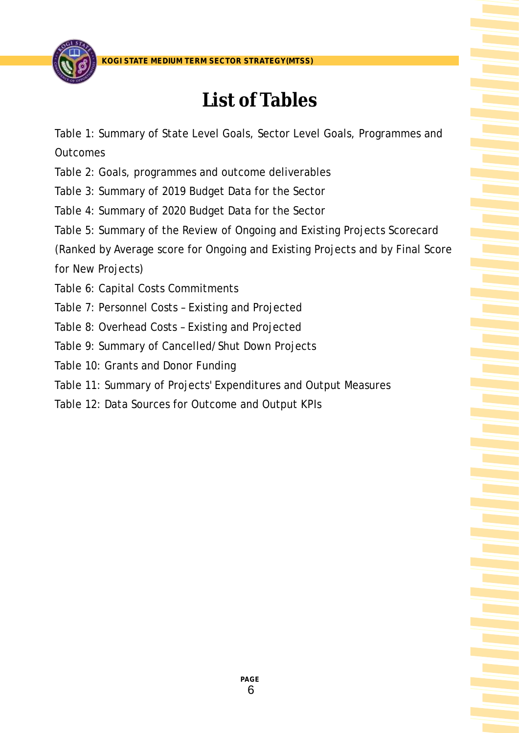

**List of Tables**

Table 1: Summary of State Level Goals, Sector Level Goals, Programmes and **Outcomes** 

Table 2: Goals, programmes and outcome deliverables

Table 3: Summary of 2019 Budget Data for the Sector

Table 4: Summary of 2020 Budget Data for the Sector

Table 5: Summary of the Review of Ongoing and Existing Projects Scorecard

(Ranked by Average score for Ongoing and Existing Projects and by Final Score

for New Projects)

Table 6: Capital Costs Commitments

Table 7: Personnel Costs – Existing and Projected

Table 8: Overhead Costs – Existing and Projected

Table 9: Summary of Cancelled/Shut Down Projects

Table 10: Grants and Donor Funding

Table 11: Summary of Projects' Expenditures and Output Measures

Table 12: Data Sources for Outcome and Output KPIs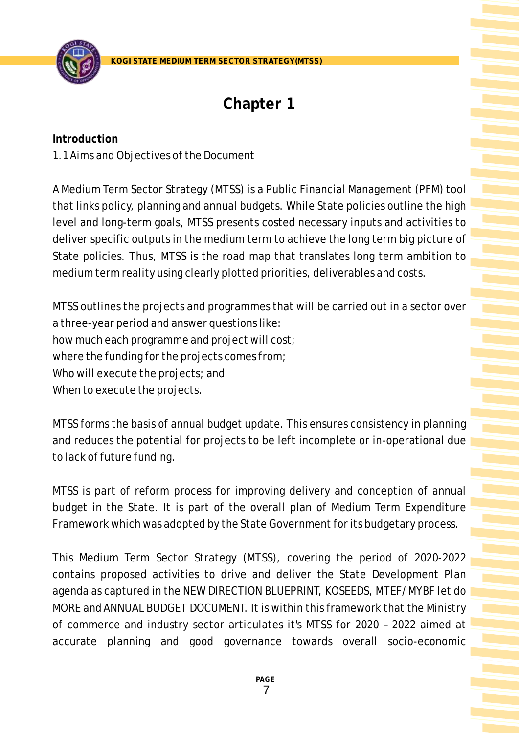

# **Chapter 1**

**Introduction** 1.1 Aims and Objectives of the Document

A Medium Term Sector Strategy (MTSS) is a Public Financial Management (PFM) tool that links policy, planning and annual budgets. While State policies outline the high level and long-term goals, MTSS presents costed necessary inputs and activities to deliver specific outputs in the medium term to achieve the long term big picture of State policies. Thus, MTSS is the road map that translates long term ambition to medium term reality using clearly plotted priorities, deliverables and costs.

MTSS outlines the projects and programmes that will be carried out in a sector over a three-year period and answer questions like: how much each programme and project will cost; where the funding for the projects comes from; Who will execute the projects; and When to execute the projects.

MTSS forms the basis of annual budget update. This ensures consistency in planning and reduces the potential for projects to be left incomplete or in-operational due to lack of future funding.

MTSS is part of reform process for improving delivery and conception of annual budget in the State. It is part of the overall plan of Medium Term Expenditure Framework which was adopted by the State Government for its budgetary process.

This Medium Term Sector Strategy (MTSS), covering the period of 2020-2022 contains proposed activities to drive and deliver the State Development Plan agenda as captured in the NEW DIRECTION BLUEPRINT, KOSEEDS, MTEF/MYBF let do MORE and ANNUAL BUDGET DOCUMENT. It is within this framework that the Ministry of commerce and industry sector articulates it's MTSS for 2020 – 2022 aimed at accurate planning and good governance towards overall socio-economic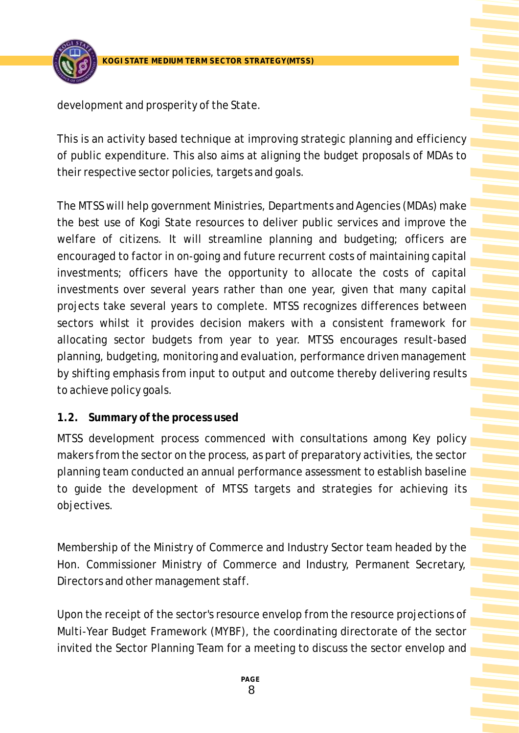

development and prosperity of the State.

This is an activity based technique at improving strategic planning and efficiency of public expenditure. This also aims at aligning the budget proposals of MDAs to their respective sector policies, targets and goals.

The MTSS will help government Ministries, Departments and Agencies (MDAs) make the best use of Kogi State resources to deliver public services and improve the welfare of citizens. It will streamline planning and budgeting; officers are encouraged to factor in on-going and future recurrent costs of maintaining capital investments; officers have the opportunity to allocate the costs of capital investments over several years rather than one year, given that many capital projects take several years to complete. MTSS recognizes differences between sectors whilst it provides decision makers with a consistent framework for allocating sector budgets from year to year. MTSS encourages result-based planning, budgeting, monitoring and evaluation, performance driven management by shifting emphasis from input to output and outcome thereby delivering results to achieve policy goals.

### **1.2. Summary of the process used**

MTSS development process commenced with consultations among Key policy makers from the sector on the process, as part of preparatory activities, the sector planning team conducted an annual performance assessment to establish baseline to guide the development of MTSS targets and strategies for achieving its objectives.

Membership of the Ministry of Commerce and Industry Sector team headed by the Hon. Commissioner Ministry of Commerce and Industry, Permanent Secretary, Directors and other management staff.

Upon the receipt of the sector's resource envelop from the resource projections of Multi-Year Budget Framework (MYBF), the coordinating directorate of the sector invited the Sector Planning Team for a meeting to discuss the sector envelop and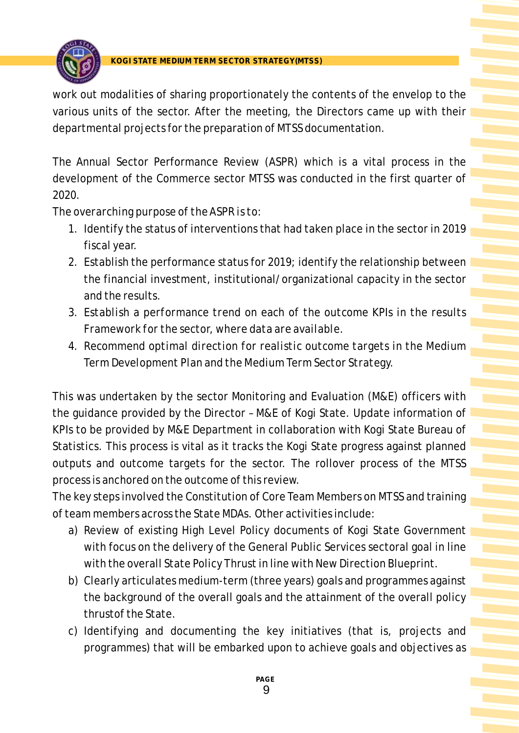

work out modalities of sharing proportionately the contents of the envelop to the various units of the sector. After the meeting, the Directors came up with their departmental projects for the preparation of MTSS documentation.

The Annual Sector Performance Review (ASPR) which is a vital process in the development of the Commerce sector MTSS was conducted in the first quarter of 2020.

*The overarching purpose of the ASPR is to:*

- 1. Identify the status of interventions that had taken place in the sector in 2019 fiscal year.
- 2. Establish the performance status for 2019; identify the relationship between the financial investment, institutional/organizational capacity in the sector and the results.
- *3. Establish a performance trend on each of the outcome KPIs in the results Framework for the sector, where data are available.*
- *4. Recommend optimal direction for realistic outcome targets in the Medium Term Development Plan and the Medium Term Sector Strategy.*

This was undertaken by the sector Monitoring and Evaluation (M&E) officers with the guidance provided by the Director – M&E of Kogi State. Update information of KPIs to be provided by M&E Department in collaboration with Kogi State Bureau of Statistics. This process is vital as it tracks the Kogi State progress against planned outputs and outcome targets for the sector. The rollover process of the MTSS process is anchored on the outcome of this review.

The key steps involved the Constitution of Core Team Members on MTSS and training of team members across the State MDAs. Other activities include:

- a) Review of existing High Level Policy documents of Kogi State Government with focus on the delivery of the General Public Services sectoral goal in line with the overall State Policy Thrust in line with New Direction Blueprint.
- b) Clearly articulates medium-term (three years) goals and programmes against the background of the overall goals and the attainment of the overall policy thrustof the State.
- c) Identifying and documenting the key initiatives (that is, projects and programmes) that will be embarked upon to achieve goals and objectives as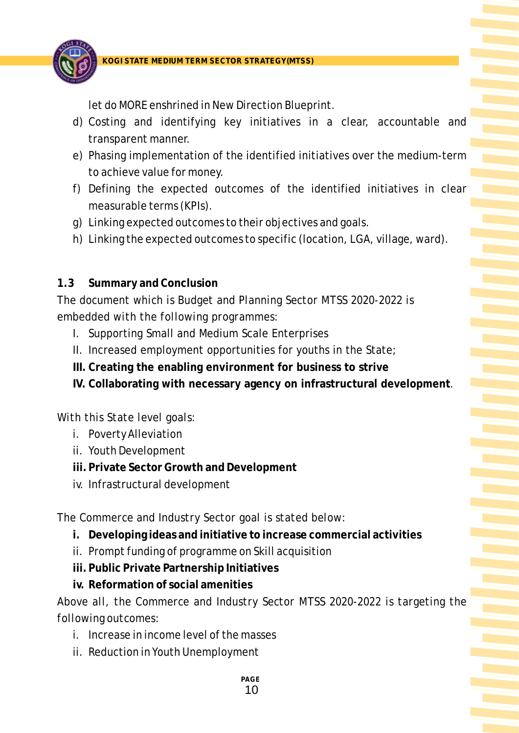

let do MORE enshrined in New Direction Blueprint.

- d) Costing and identifying key initiatives in a clear, accountable and transparent manner.
- e) Phasing implementation of the identified initiatives over the medium-term to achieve value for money.
- f) Defining the expected outcomes of the identified initiatives in clear measurable terms (KPIs).
- g) Linking expected outcomes to their objectives and goals.
- h) Linking the expected outcomes to specific (location, LGA, village, ward).

### **1.3 Summary and Conclusion**

*The document which is Budget and Planning Sector MTSS 2020-2022 is embedded with the following programmes:*

- I. Supporting Small and Medium Scale Enterprises
- II. Increased employment opportunities for youths in the State;
- **III. Creating the enabling environment for business to strive**
- **IV. Collaborating with necessary agency on infrastructural development**.

### *With this State level goals:*

- i. Poverty Alleviation
- ii. Youth Development
- **iii.Private Sector Growth and Development**
- iv. Infrastructural development

*The Commerce and Industry Sector goal is stated below:*

- **i. Developing ideas and initiative to increase commercial activities**
- ii. Prompt funding of programme on Skill acquisition
- **iii.Public Private Partnership Initiatives**
- **iv. Reformation of social amenities**

*Above all, the Commerce and Industry Sector MTSS 2020-2022 is targeting the following outcomes:*

- i. Increase in income level of the masses
- ii. Reduction in Youth Unemployment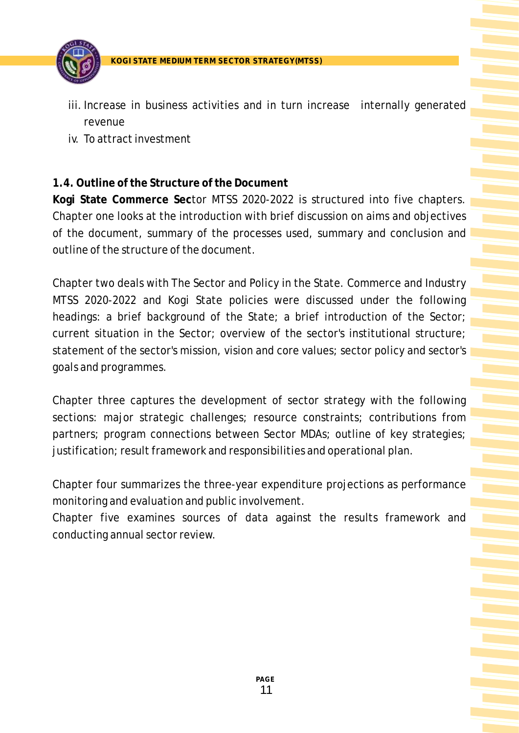

- iii. Increase in business activities and in turn increase internally generated revenue
- iv. To attract investment

### **1.4. Outline of the Structure of the Document**

**Kogi State Commerce Sec**tor MTSS 2020-2022 is structured into five chapters. Chapter one looks at the introduction with brief discussion on aims and objectives of the document, summary of the processes used, summary and conclusion and outline of the structure of the document.

Chapter two deals with The Sector and Policy in the State. Commerce and Industry MTSS 2020-2022 and Kogi State policies were discussed under the following headings: a brief background of the State; a brief introduction of the Sector; current situation in the Sector; overview of the sector's institutional structure; statement of the sector's mission, vision and core values; sector policy and sector's goals and programmes.

Chapter three captures the development of sector strategy with the following sections: major strategic challenges; resource constraints; contributions from partners; program connections between Sector MDAs; outline of key strategies; justification; result framework and responsibilities and operational plan.

Chapter four summarizes the three-year expenditure projections as performance monitoring and evaluation and public involvement.

Chapter five examines sources of data against the results framework and conducting annual sector review.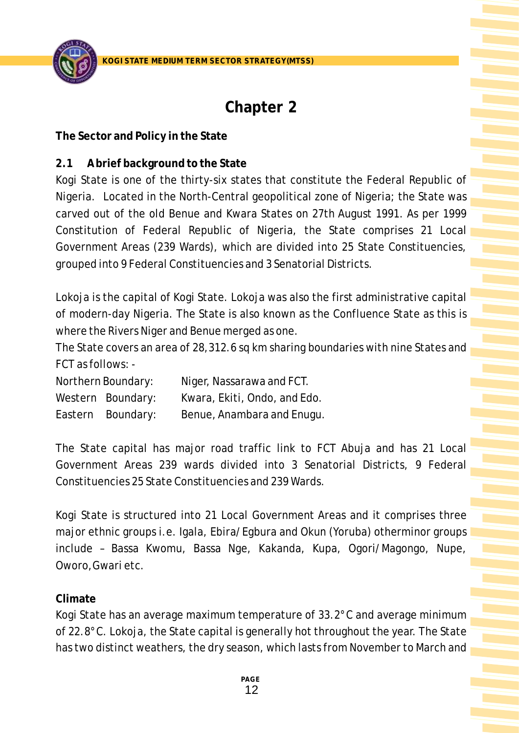

# **Chapter 2**

**The Sector and Policy in the State**

**2.1 Abrief background to the State**

Kogi State is one of the thirty-six states that constitute the Federal Republic of Nigeria. Located in the North-Central geopolitical zone of Nigeria; the State was carved out of the old Benue and Kwara States on 27th August 1991. As per 1999 Constitution of Federal Republic of Nigeria, the State comprises 21 Local Government Areas (239 Wards), which are divided into 25 State Constituencies, grouped into 9 Federal Constituencies and 3 Senatorial Districts.

Lokoja is the capital of Kogi State. Lokoja was also the first administrative capital of modern-day Nigeria. The State is also known as the Confluence State as this is where the Rivers Niger and Benue merged as one.

The State covers an area of 28,312.6 sq km sharing boundaries with nine States and FCT as follows: -

Northern Boundary: Niger, Nassarawa and FCT. Western Boundary: Kwara, Ekiti, Ondo, and Edo. Eastern Boundary: Benue, Anambara and Enugu.

The State capital has major road traffic link to FCT Abuja and has 21 Local Government Areas 239 wards divided into 3 Senatorial Districts, 9 Federal Constituencies 25 State Constituencies and 239 Wards.

Kogi State is structured into 21 Local Government Areas and it comprises three major ethnic groups i.e. Igala, Ebira/Egbura and Okun (Yoruba) otherminor groups include – Bassa Kwomu, Bassa Nge, Kakanda, Kupa, Ogori/Magongo, Nupe, Oworo,Gwari etc.

## **Climate**

Kogi State has an average maximum temperature of 33.2°C and average minimum of 22.8°C. Lokoja, the State capital is generally hot throughout the year. The State has two distinct weathers, the dry season, which lasts from November to March and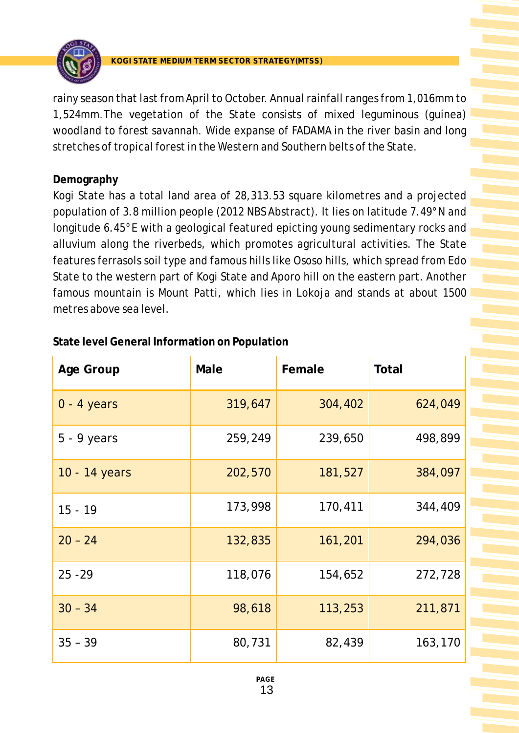

rainy season that last from April to October. Annual rainfall ranges from 1,016mm to 1,524mm.The vegetation of the State consists of mixed leguminous (guinea) woodland to forest savannah. Wide expanse of FADAMA in the river basin and long stretches of tropical forest in the Western and Southern belts of the State.

### **Demography**

Kogi State has a total land area of 28,313.53 square kilometres and a projected population of 3.8 million people (2012 NBS Abstract). It lies on latitude 7.49°N and longitude 6.45°E with a geological featured epicting young sedimentary rocks and alluvium along the riverbeds, which promotes agricultural activities. The State features ferrasols soil type and famous hills like Ososo hills, which spread from Edo State to the western part of Kogi State and Aporo hill on the eastern part. Another famous mountain is Mount Patti, which lies in Lokoja and stands at about 1500 metres above sea level.

| Age Group     | Male    | Female  | Total   |
|---------------|---------|---------|---------|
| $0 - 4$ years | 319,647 | 304,402 | 624,049 |
| $5 - 9$ years | 259,249 | 239,650 | 498,899 |
| 10 - 14 years | 202,570 | 181,527 | 384,097 |
| $15 - 19$     | 173,998 | 170,411 | 344,409 |
| $20 - 24$     | 132,835 | 161,201 | 294,036 |
| $25 - 29$     | 118,076 | 154,652 | 272,728 |
| $30 - 34$     | 98,618  | 113,253 | 211,871 |
| $35 - 39$     | 80,731  | 82,439  | 163,170 |

### **State level General Information on Population**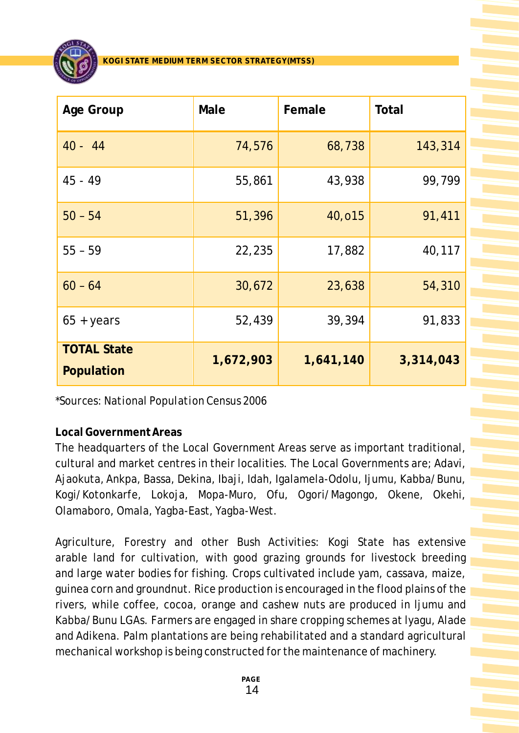**KRM SECTOR STRATEGY/MTSS)** 

| Age Group                        | Male      | Female    | Total     |
|----------------------------------|-----------|-----------|-----------|
| $40 - 44$                        | 74,576    | 68,738    | 143,314   |
| $45 - 49$                        | 55,861    | 43,938    | 99,799    |
| $50 - 54$                        | 51,396    | 40,015    | 91,411    |
| $55 - 59$                        | 22,235    | 17,882    | 40,117    |
| $60 - 64$                        | 30,672    | 23,638    | 54,310    |
| $65 + \text{years}$              | 52,439    | 39,394    | 91,833    |
| <b>TOTAL State</b><br>Population | 1,672,903 | 1,641,140 | 3,314,043 |

*\*Sources: National Population Census 2006*

### **Local Government Areas**

The headquarters of the Local Government Areas serve as important traditional, cultural and market centres in their localities. The Local Governments are; Adavi, Ajaokuta, Ankpa, Bassa, Dekina, Ibaji, Idah, Igalamela-Odolu, Ijumu, Kabba/Bunu, Kogi/Kotonkarfe, Lokoja, Mopa-Muro, Ofu, Ogori/Magongo, Okene, Okehi, Olamaboro, Omala, Yagba-East, Yagba-West.

Agriculture, Forestry and other Bush Activities: Kogi State has extensive arable land for cultivation, with good grazing grounds for livestock breeding and large water bodies for fishing. Crops cultivated include yam, cassava, maize, guinea corn and groundnut. Rice production is encouraged in the flood plains of the rivers, while coffee, cocoa, orange and cashew nuts are produced in ljumu and Kabba/Bunu LGAs. Farmers are engaged in share cropping schemes at lyagu, Alade and Adikena. Palm plantations are being rehabilitated and a standard agricultural mechanical workshop is being constructed for the maintenance of machinery.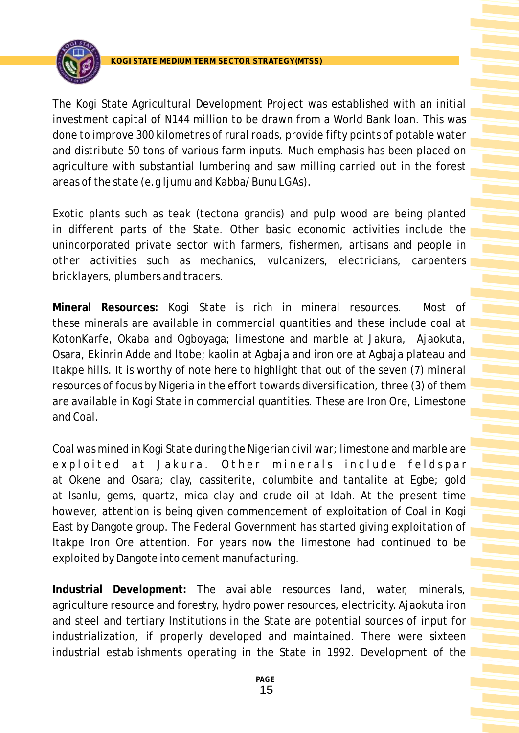

The Kogi State Agricultural Development Project was established with an initial investment capital of N144 million to be drawn from a World Bank loan. This was done to improve 300 kilometres of rural roads, provide fifty points of potable water and distribute 50 tons of various farm inputs. Much emphasis has been placed on agriculture with substantial lumbering and saw milling carried out in the forest areas of the state (e.g ljumu and Kabba/Bunu LGAs).

Exotic plants such as teak (tectona grandis) and pulp wood are being planted in different parts of the State. Other basic economic activities include the unincorporated private sector with farmers, fishermen, artisans and people in other activities such as mechanics, vulcanizers, electricians, carpenters bricklayers, plumbers and traders.

**Mineral Resources:** Kogi State is rich in mineral resources. Most of these minerals are available in commercial quantities and these include coal at KotonKarfe, Okaba and Ogboyaga; limestone and marble at Jakura, Ajaokuta, Osara, Ekinrin Adde and ltobe; kaolin at Agbaja and iron ore at Agbaja plateau and Itakpe hills. It is worthy of note here to highlight that out of the seven (7) mineral resources of focus by Nigeria in the effort towards diversification, three (3) of them are available in Kogi State in commercial quantities. These are Iron Ore, Limestone and Coal.

Coal was mined in Kogi State during the Nigerian civil war; limestone and marble are exploited at Jakura. Other minerals include feldspar at Okene and Osara; clay, cassiterite, columbite and tantalite at Egbe; gold at Isanlu, gems, quartz, mica clay and crude oil at Idah. At the present time however, attention is being given commencement of exploitation of Coal in Kogi East by Dangote group. The Federal Government has started giving exploitation of Itakpe Iron Ore attention. For years now the limestone had continued to be exploited by Dangote into cement manufacturing.

**Industrial Development:** The available resources land, water, minerals, agriculture resource and forestry, hydro power resources, electricity. Ajaokuta iron and steel and tertiary Institutions in the State are potential sources of input for industrialization, if properly developed and maintained. There were sixteen industrial establishments operating in the State in 1992. Development of the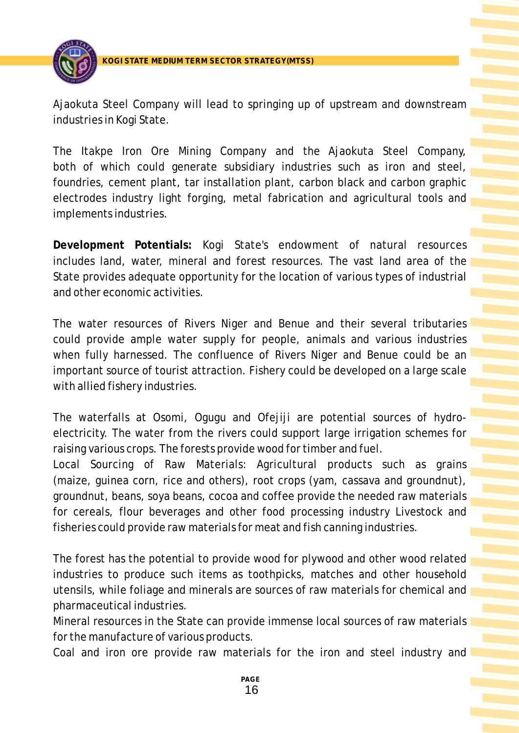

Ajaokuta Steel Company will lead to springing up of upstream and downstream industries in Kogi State.

**MEDIUM TERM SECTOR STRATEGY(MTSS)** 

The Itakpe Iron Ore Mining Company and the Ajaokuta Steel Company, both of which could generate subsidiary industries such as iron and steel, foundries, cement plant, tar installation plant, carbon black and carbon graphic electrodes industry light forging, metal fabrication and agricultural tools and implements industries.

**Development Potentials:** Kogi State's endowment of natural resources includes land, water, mineral and forest resources. The vast land area of the State provides adequate opportunity for the location of various types of industrial and other economic activities.

The water resources of Rivers Niger and Benue and their several tributaries could provide ample water supply for people, animals and various industries when fully harnessed. The confluence of Rivers Niger and Benue could be an important source of tourist attraction. Fishery could be developed on a large scale with allied fishery industries.

The waterfalls at Osomi, Ogugu and Ofejiji are potential sources of hydroelectricity. The water from the rivers could support large irrigation schemes for raising various crops. The forests provide wood for timber and fuel.

Local Sourcing of Raw Materials: Agricultural products such as grains (maize, guinea corn, rice and others), root crops (yam, cassava and groundnut), groundnut, beans, soya beans, cocoa and coffee provide the needed raw materials for cereals, flour beverages and other food processing industry Livestock and fisheries could provide raw materials for meat and fish canning industries.

The forest has the potential to provide wood for plywood and other wood related industries to produce such items as toothpicks, matches and other household utensils, while foliage and minerals are sources of raw materials for chemical and pharmaceutical industries.

Mineral resources in the State can provide immense local sources of raw materials for the manufacture of various products.

Coal and iron ore provide raw materials for the iron and steel industry and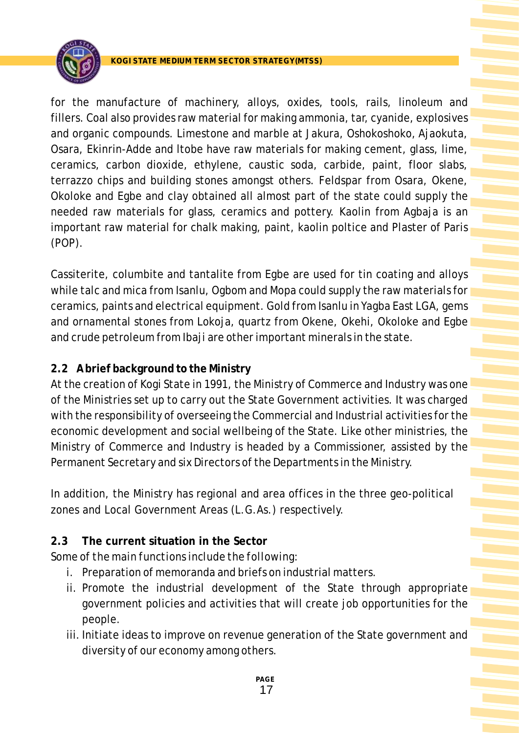

**MEDIUM TERM SECTOR STRATEGY(MTSS)** 

for the manufacture of machinery, alloys, oxides, tools, rails, linoleum and fillers. Coal also provides raw material for making ammonia, tar, cyanide, explosives and organic compounds. Limestone and marble at Jakura, Oshokoshoko, Ajaokuta, Osara, Ekinrin-Adde and ltobe have raw materials for making cement, glass, lime, ceramics, carbon dioxide, ethylene, caustic soda, carbide, paint, floor slabs, terrazzo chips and building stones amongst others. Feldspar from Osara, Okene, Okoloke and Egbe and clay obtained all almost part of the state could supply the needed raw materials for glass, ceramics and pottery. Kaolin from Agbaja is an important raw material for chalk making, paint, kaolin poltice and Plaster of Paris (POP).

Cassiterite, columbite and tantalite from Egbe are used for tin coating and alloys while talc and mica from Isanlu, Ogbom and Mopa could supply the raw materials for ceramics, paints and electrical equipment. Gold from Isanlu in Yagba East LGA, gems and ornamental stones from Lokoja, quartz from Okene, Okehi, Okoloke and Egbe and crude petroleum from Ibaji are other important minerals in the state.

### **2.2 Abrief background to the Ministry**

At the creation of Kogi State in 1991, the Ministry of Commerce and Industry was one of the Ministries set up to carry out the State Government activities. It was charged with the responsibility of overseeing the Commercial and Industrial activities for the economic development and social wellbeing of the State. Like other ministries, the Ministry of Commerce and Industry is headed by a Commissioner, assisted by the Permanent Secretary and six Directors of the Departments in the Ministry.

In addition, the Ministry has regional and area offices in the three geo-political zones and Local Government Areas (L.G.As.) respectively.

### **2.3 The current situation in the Sector**

*Some of the main functions include the following:*

- i. Preparation of memoranda and briefs on industrial matters.
- ii. Promote the industrial development of the State through appropriate government policies and activities that will create job opportunities for the people.
- iii. Initiate ideas to improve on revenue generation of the State government and diversity of our economy among others.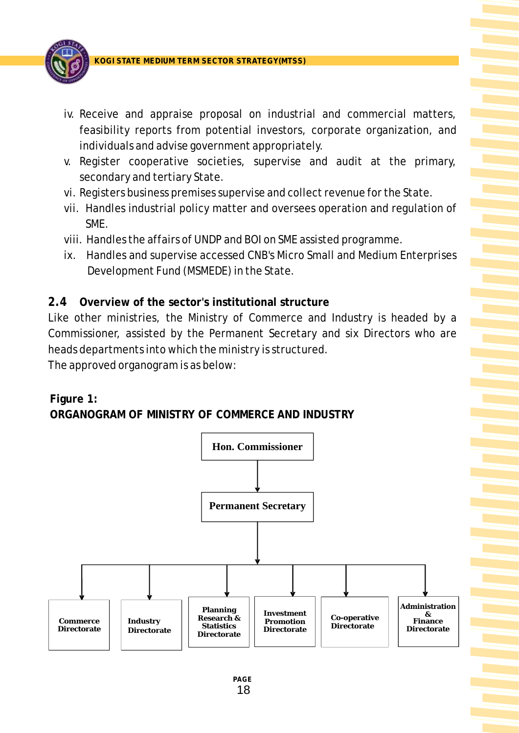

- iv. Receive and appraise proposal on industrial and commercial matters, feasibility reports from potential investors, corporate organization, and individuals and advise government appropriately.
- v. Register cooperative societies, supervise and audit at the primary, secondary and tertiary State.
- vi. Registers business premises supervise and collect revenue for the State.
- vii. Handles industrial policy matter and oversees operation and regulation of SME.
- viii. Handles the affairs of UNDP and BOI on SME assisted programme.
- ix. Handles and supervise accessed CNB's Micro Small and Medium Enterprises Development Fund (MSMEDE) in the State.
- **2.4 Overview of the sector's institutional structure**

Like other ministries, the Ministry of Commerce and Industry is headed by a Commissioner, assisted by the Permanent Secretary and six Directors who are heads departments into which the ministry is structured.

The approved organogram is as below:



**ORGANOGRAM OF MINISTRY OF COMMERCE AND INDUSTRY**

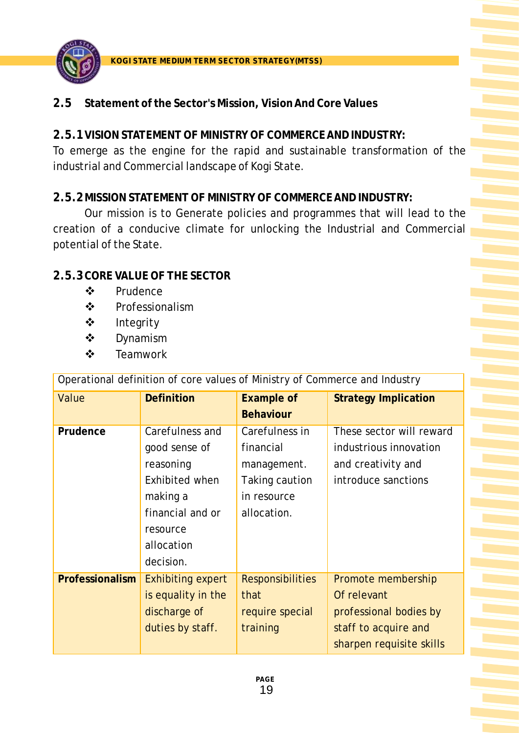

**2.5 Statement of the Sector's Mission, Vision And Core Values**

**2.5.1VISION STATEMENT OF MINISTRY OF COMMERCE AND INDUSTRY:**

To emerge as the engine for the rapid and sustainable transformation of the industrial and Commercial landscape of Kogi State.

**2.5.2MISSION STATEMENT OF MINISTRY OF COMMERCE AND INDUSTRY:**

Our mission is to Generate policies and programmes that will lead to the creation of a conducive climate for unlocking the Industrial and Commercial potential of the State.

## **2.5.3 CORE VALUE OF THE SECTOR**

- ❖ Prudence
- v Professionalism
- v Integrity
- ❖ Dynamism
- **❖** Teamwork

Operational definition of core values of Ministry of Commerce and Industry

| Value           | Definition               | <b>Example of</b>       | <b>Strategy Implication</b> |
|-----------------|--------------------------|-------------------------|-----------------------------|
|                 |                          | <b>Behaviour</b>        |                             |
| Prudence        | Carefulness and          | Carefulness in          | These sector will reward    |
|                 | good sense of            | financial               | industrious innovation      |
|                 | reasoning                | management.             | and creativity and          |
|                 | Exhibited when           | Taking caution          | introduce sanctions         |
|                 | making a                 | in resource             |                             |
|                 | financial and or         | allocation.             |                             |
|                 | resource                 |                         |                             |
|                 | allocation               |                         |                             |
|                 | decision.                |                         |                             |
| Professionalism | <b>Exhibiting expert</b> | <b>Responsibilities</b> | Promote membership          |
|                 | is equality in the       | that                    | Of relevant                 |
|                 | discharge of             | require special         | professional bodies by      |
|                 | duties by staff.         | training                | staff to acquire and        |
|                 |                          |                         | sharpen requisite skills    |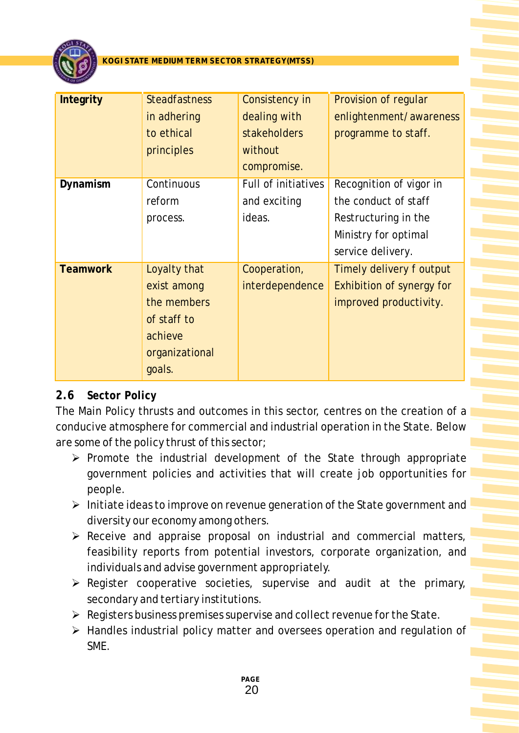

| Integrity       | <b>Steadfastness</b><br>in adhering<br>to ethical<br>principles                                  | Consistency in<br>dealing with<br><b>stakeholders</b><br>without<br>compromise. | Provision of regular<br>enlightenment/awareness<br>programme to staff.                                               |
|-----------------|--------------------------------------------------------------------------------------------------|---------------------------------------------------------------------------------|----------------------------------------------------------------------------------------------------------------------|
| Dynamism        | Continuous<br>reform<br>process.                                                                 | Full of initiatives<br>and exciting<br>ideas.                                   | Recognition of vigor in<br>the conduct of staff<br>Restructuring in the<br>Ministry for optimal<br>service delivery. |
| <b>Teamwork</b> | Loyalty that<br>exist among<br>the members<br>of staff to<br>achieve<br>organizational<br>goals. | Cooperation,<br>interdependence                                                 | Timely delivery f output<br>Exhibition of synergy for<br>improved productivity.                                      |

## *2.6 Sector Policy*

The Main Policy thrusts and outcomes in this sector, centres on the creation of a conducive atmosphere for commercial and industrial operation in the State. Below are some of the policy thrust of this sector;

- $\triangleright$  Promote the industrial development of the State through appropriate government policies and activities that will create job opportunities for people.
- Ø Initiate ideas to improve on revenue generation of the State government and diversity our economy among others.
- Ø Receive and appraise proposal on industrial and commercial matters, feasibility reports from potential investors, corporate organization, and individuals and advise government appropriately.
- $\triangleright$  Register cooperative societies, supervise and audit at the primary, secondary and tertiary institutions.
- Ø Registers business premises supervise and collect revenue for the State.
- Ø Handles industrial policy matter and oversees operation and regulation of SME.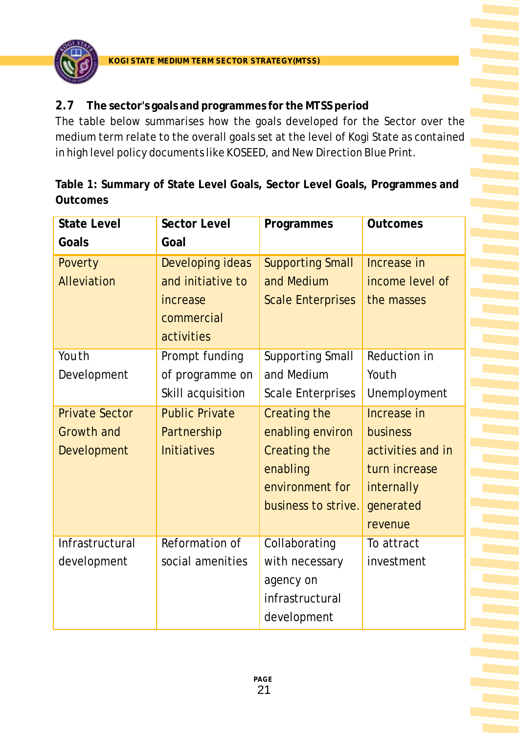

**2.7 The sector's goals and programmes for the MTSS period**

The table below summarises how the goals developed for the Sector over the medium term relate to the overall goals set at the level of Kogi State as contained in high level policy documents like KOSEED, and New Direction Blue Print.

**Table 1: Summary of State Level Goals, Sector Level Goals, Programmes and Outcomes**

| <b>State Level</b><br>Goals | Sector Level<br>Goal                                                          | Programmes                                                        | <b>Outcomes</b>                              |
|-----------------------------|-------------------------------------------------------------------------------|-------------------------------------------------------------------|----------------------------------------------|
| Poverty<br>Alleviation      | Developing ideas<br>and initiative to<br>increase<br>commercial<br>activities | <b>Supporting Small</b><br>and Medium<br><b>Scale Enterprises</b> | Increase in<br>income level of<br>the masses |
| You th                      | Prompt funding                                                                | <b>Supporting Small</b>                                           | Reduction in                                 |
| Development                 | of programme on                                                               | and Medium                                                        | Youth                                        |
|                             | Skill acquisition                                                             | <b>Scale Enterprises</b>                                          | Unemployment                                 |
| <b>Private Sector</b>       | <b>Public Private</b>                                                         | <b>Creating the</b>                                               | Increase in                                  |
| <b>Growth and</b>           | Partnership                                                                   | enabling environ                                                  | business                                     |
| Development                 | <b>Initiatives</b>                                                            | Creating the                                                      | activities and in                            |
|                             |                                                                               | enabling                                                          | turn increase                                |
|                             |                                                                               | environment for                                                   | internally                                   |
|                             |                                                                               | business to strive.                                               | generated                                    |
|                             |                                                                               |                                                                   | revenue                                      |
| Infrastructural             | Reformation of                                                                | Collaborating                                                     | To attract                                   |
| development                 | social amenities                                                              | with necessary                                                    | investment                                   |
|                             |                                                                               | agency on                                                         |                                              |
|                             |                                                                               | infrastructural                                                   |                                              |
|                             |                                                                               | development                                                       |                                              |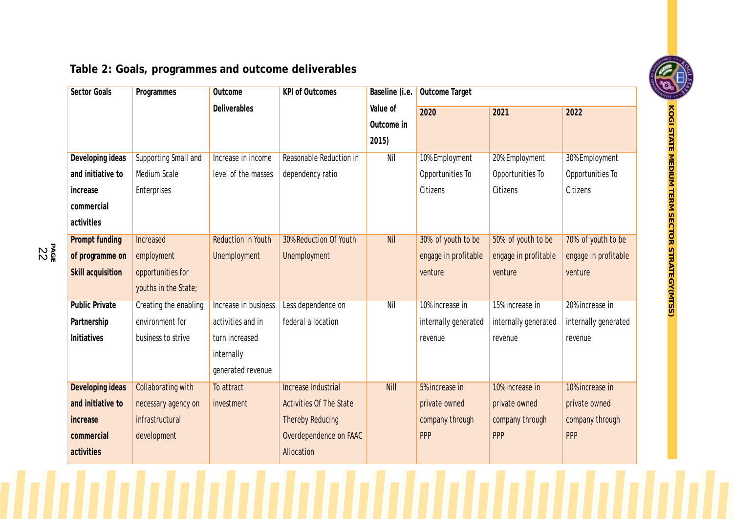

### **Table 2: Goals, programmes and outcome deliverables**

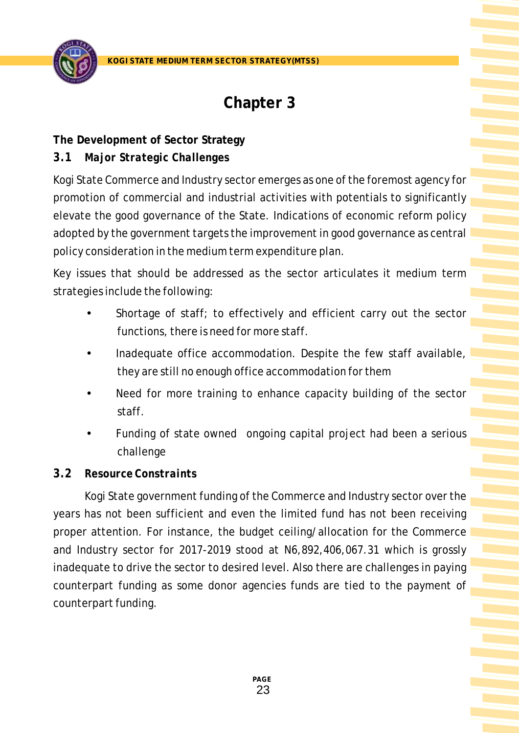

# **Chapter 3**

**The Development of Sector Strategy**

## *3.1 Major Strategic Challenges*

Kogi State Commerce and Industry sector emerges as one of the foremost agency for promotion of commercial and industrial activities with potentials to significantly elevate the good governance of the State. Indications of economic reform policy adopted by the government targets the improvement in good governance as central policy consideration in the medium term expenditure plan.

Key issues that should be addressed as the sector articulates it medium term strategies include the following:

- •Shortage of staff; to effectively and efficient carry out the sector functions, there is need for more staff.
- •Inadequate office accommodation. Despite the few staff available, they are still no enough office accommodation for them
- Need for more training to enhance capacity building of the sector staff.
- •Funding of state owned ongoing capital project had been a serious challenge

## *3.2 Resource Constraints*

Kogi State government funding of the Commerce and Industry sector over the years has not been sufficient and even the limited fund has not been receiving proper attention. For instance, the budget ceiling/allocation for the Commerce and Industry sector for 2017-2019 stood at N6,892,406,067.31 which is grossly inadequate to drive the sector to desired level. Also there are challenges in paying counterpart funding as some donor agencies funds are tied to the payment of counterpart funding.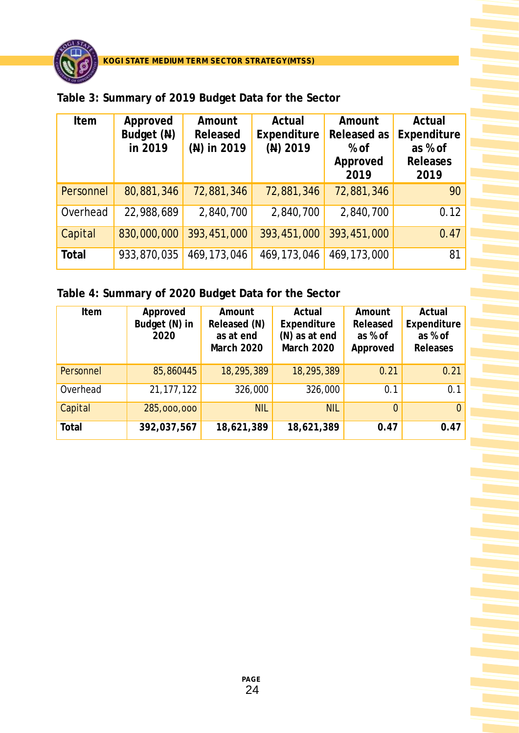

| Table 3: Summary of 2019 Budget Data for the Sector |  |  |  |
|-----------------------------------------------------|--|--|--|
|                                                     |  |  |  |

| Item      | Approved     | Amount        | Actual        | Amount        | Actual      |
|-----------|--------------|---------------|---------------|---------------|-------------|
|           | Budget $(M)$ | Released      | Expenditure   | Released as   | Expenditure |
|           | in 2019      | (N) in 2019   | $(M)$ 2019    | $%$ of        | as % of     |
|           |              |               |               | Approved      | Releases    |
|           |              |               |               | 2019          | 2019        |
| Personnel | 80,881,346   | 72,881,346    | 72,881,346    | 72,881,346    | 90          |
| Overhead  | 22,988,689   | 2,840,700     | 2,840,700     | 2,840,700     | 0.12        |
| Capital   | 830,000,000  | 393,451,000   | 393,451,000   | 393,451,000   | 0.47        |
| Total     | 933,870,035  | 469, 173, 046 | 469, 173, 046 | 469, 173, 000 | 81          |

| Table 4: Summary of 2020 Budget Data for the Sector |  |  |  |
|-----------------------------------------------------|--|--|--|
|                                                     |  |  |  |

| Item      | Approved<br>Budget (N) in<br>2020 | Amount<br>Released (N)<br>as at end<br>March 2020 | Actual<br>Expenditure<br>(N) as at end<br>March 2020 | Amount<br>Released<br>as % of<br>Approved | Actual<br>Expenditure<br>as % of<br>Releases |
|-----------|-----------------------------------|---------------------------------------------------|------------------------------------------------------|-------------------------------------------|----------------------------------------------|
| Personnel | 85,860445                         | 18,295,389                                        | 18,295,389                                           | 0.21                                      | 0.21                                         |
| Overhead  | 21, 177, 122                      | 326,000                                           | 326,000                                              | 0.1                                       | 0.1                                          |
| Capital   | 285,000,000                       | <b>NIL</b>                                        | <b>NIL</b>                                           | $\overline{0}$                            | $\theta$                                     |
| Total     | 392,037,567                       | 18,621,389                                        | 18,621,389                                           | 0.47                                      | 0.47                                         |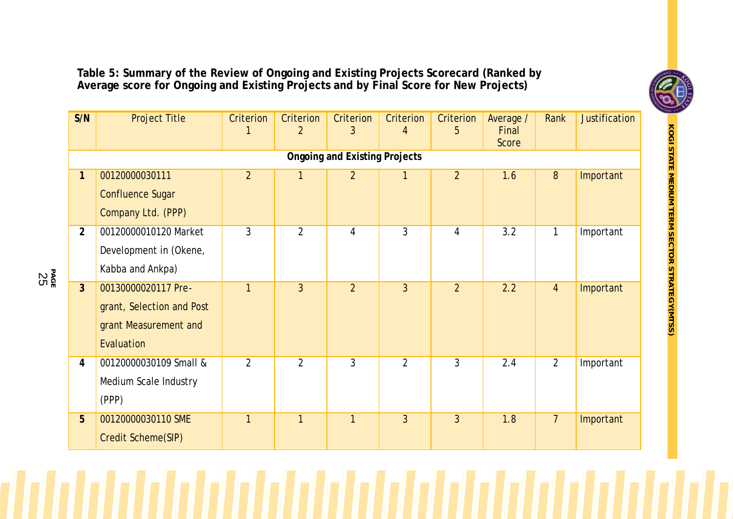**Table 5: Summary of the Review of Ongoing and Existing Projects Scorecard (Ranked by Average score for Ongoing and Existing Projects and by Final Score for New Projects)**

| S/N            | Project Title             | Criterion      | Criterion<br>$\overline{2}$ | Criterion<br>3                | <b>Criterion</b><br>4 | Criterion<br>5 | Average /<br>Final<br>Score | Rank           | Justification |
|----------------|---------------------------|----------------|-----------------------------|-------------------------------|-----------------------|----------------|-----------------------------|----------------|---------------|
|                |                           |                |                             | Ongoing and Existing Projects |                       |                |                             |                |               |
| 1              | 00120000030111            | $\overline{2}$ | $\mathbf{1}$                | $\overline{2}$                | $\mathbf{1}$          | $\overline{2}$ | 1.6                         | 8              | Important     |
|                | <b>Confluence Sugar</b>   |                |                             |                               |                       |                |                             |                |               |
|                | Company Ltd. (PPP)        |                |                             |                               |                       |                |                             |                |               |
| $\overline{2}$ | 00120000010120 Market     | 3              | $\overline{2}$              | $\overline{4}$                | 3                     | 4              | 3.2                         | 1              | Important     |
|                | Development in (Okene,    |                |                             |                               |                       |                |                             |                |               |
|                | Kabba and Ankpa)          |                |                             |                               |                       |                |                             |                |               |
| $\mathbf{3}$   | 00130000020117 Pre-       | 1              | $\overline{3}$              | $\overline{2}$                | $\overline{3}$        | $\overline{2}$ | 2.2                         | $\overline{4}$ | Important     |
|                | grant, Selection and Post |                |                             |                               |                       |                |                             |                |               |
|                | grant Measurement and     |                |                             |                               |                       |                |                             |                |               |
|                | Evaluation                |                |                             |                               |                       |                |                             |                |               |
| $\overline{4}$ | 00120000030109 Small &    | $\overline{2}$ | $\overline{2}$              | 3                             | $\overline{2}$        | $\mathfrak{Z}$ | 2.4                         | $\overline{2}$ | Important     |
|                | Medium Scale Industry     |                |                             |                               |                       |                |                             |                |               |
|                | (PPP)                     |                |                             |                               |                       |                |                             |                |               |
| 5              | 00120000030110 SME        | 1              | $\mathbf{1}$                | $\mathbf{1}$                  | $\overline{3}$        | 3              | 1.8                         | $\overline{7}$ | Important     |
|                | Credit Scheme(SIP)        |                |                             |                               |                       |                |                             |                |               |

**K O GI**

**S TAT E**

**M E DIU M**

**T E R M**

**S E C T O R**

STRATEGY(MTSS)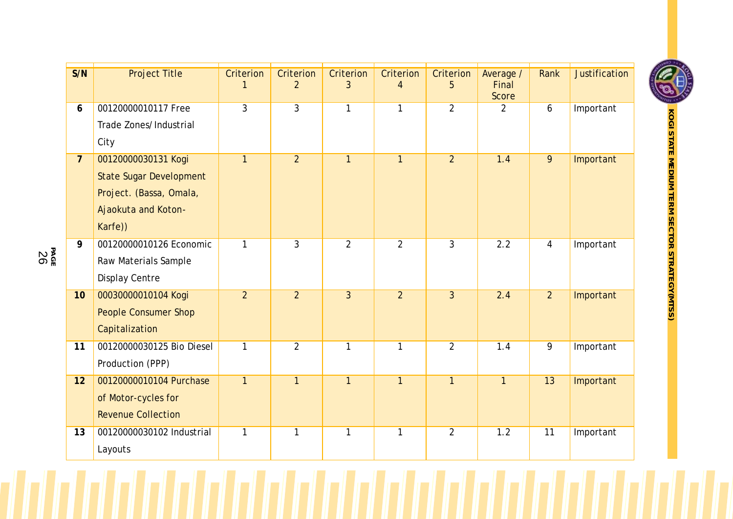| S/N            | <b>Project Title</b>           | Criterion      | Criterion<br>$\overline{2}$ | Criterion<br>3 | Criterion<br>$\overline{4}$ | Criterion<br>5 | Average /<br>Final | Rank           | <b>Justification</b> |
|----------------|--------------------------------|----------------|-----------------------------|----------------|-----------------------------|----------------|--------------------|----------------|----------------------|
|                |                                |                |                             |                |                             |                | Score              |                |                      |
| 6              | 00120000010117 Free            | 3              | $\overline{3}$              | $\mathbf{1}$   | $\mathbf{1}$                | $\overline{2}$ | 2                  | 6              | Important            |
|                | Trade Zones/Industrial         |                |                             |                |                             |                |                    |                |                      |
|                | City                           |                |                             |                |                             |                |                    |                |                      |
| $\overline{7}$ | 00120000030131 Kogi            | $\overline{1}$ | $\overline{2}$              | $\mathbf{1}$   | $\mathbf{1}$                | $\overline{2}$ | 1.4                | 9              | Important            |
|                | <b>State Sugar Development</b> |                |                             |                |                             |                |                    |                |                      |
|                | Project. (Bassa, Omala,        |                |                             |                |                             |                |                    |                |                      |
|                | Ajaokuta and Koton-            |                |                             |                |                             |                |                    |                |                      |
|                | Karfe))                        |                |                             |                |                             |                |                    |                |                      |
| 9              | 00120000010126 Economic        | $\mathbf{1}$   | 3                           | $\overline{2}$ | $\overline{2}$              | 3              | 2.2                | $\overline{4}$ | Important            |
|                | Raw Materials Sample           |                |                             |                |                             |                |                    |                |                      |
|                | <b>Display Centre</b>          |                |                             |                |                             |                |                    |                |                      |
| 10             | 00030000010104 Kogi            | $\overline{2}$ | $\overline{2}$              | $\overline{3}$ | $\overline{2}$              | $\overline{3}$ | 2.4                | 2              | Important            |
|                | People Consumer Shop           |                |                             |                |                             |                |                    |                |                      |
|                | Capitalization                 |                |                             |                |                             |                |                    |                |                      |
| 11             | 00120000030125 Bio Diesel      | $\mathbf{1}$   | $\overline{2}$              | $\mathbf{1}$   | $\mathbf{1}$                | $\overline{2}$ | 1.4                | 9              | Important            |
|                | Production (PPP)               |                |                             |                |                             |                |                    |                |                      |
| 12             | 00120000010104 Purchase        | $\mathbf{1}$   | $\mathbf{1}$                | $\mathbf{1}$   | $\mathbf{1}$                | $\mathbf{1}$   | $\mathbf{1}$       | 13             | Important            |
|                | of Motor-cycles for            |                |                             |                |                             |                |                    |                |                      |
|                | <b>Revenue Collection</b>      |                |                             |                |                             |                |                    |                |                      |
| 13             | 00120000030102 Industrial      | $\mathbf{1}$   | $\mathbf{1}$                | $\mathbf{1}$   | $\mathbf{1}$                | $\overline{2}$ | 1.2                | 11             | Important            |
|                | Layouts                        |                |                             |                |                             |                |                    |                |                      |
|                |                                |                |                             |                |                             |                |                    |                |                      |

**KOGI**

**STATE MEDIUM TERM SECTOR STRATEGY(MTSS)**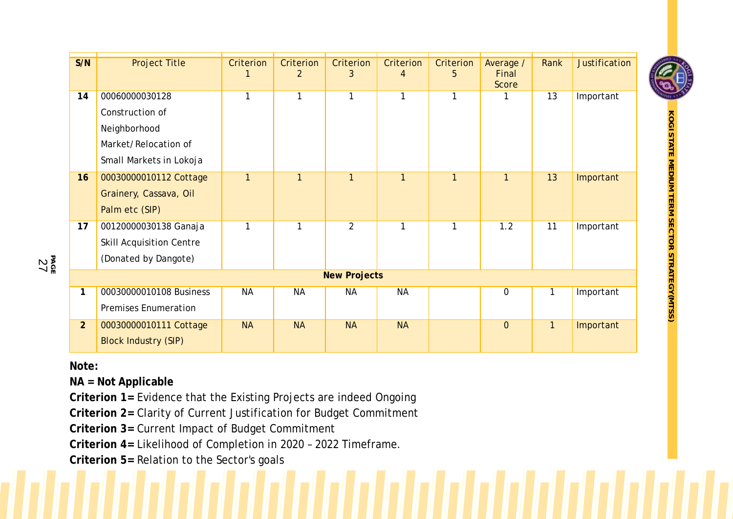| S/N            | <b>Project Title</b>            | Criterion    | Criterion    | Criterion           | Criterion      | Criterion    | Average /      | Rank         | Justification |
|----------------|---------------------------------|--------------|--------------|---------------------|----------------|--------------|----------------|--------------|---------------|
|                |                                 |              | 2            | 3                   | $\overline{4}$ | 5            | Final          |              |               |
|                |                                 |              |              |                     |                |              | Score          |              |               |
| 14             | 00060000030128                  | 1            | 1            | $\mathbf{1}$        | $\mathbf{1}$   | 1            |                | 13           | Important     |
|                | Construction of                 |              |              |                     |                |              |                |              |               |
|                | Neighborhood                    |              |              |                     |                |              |                |              |               |
|                | Market/Relocation of            |              |              |                     |                |              |                |              |               |
|                | Small Markets in Lokoja         |              |              |                     |                |              |                |              |               |
| 16             | 00030000010112 Cottage          | $\mathbf{1}$ | $\mathbf{1}$ | $\mathbf{1}$        | $\mathbf{1}$   | $\mathbf{1}$ | $\mathbf{1}$   | 13           | Important     |
|                | Grainery, Cassava, Oil          |              |              |                     |                |              |                |              |               |
|                |                                 |              |              |                     |                |              |                |              |               |
|                | Palm etc (SIP)                  |              |              |                     |                |              |                |              |               |
| 17             | 00120000030138 Ganaja           | $\mathbf{1}$ | 1            | $\overline{2}$      | $\mathbf{1}$   | $\mathbf{1}$ | 1.2            | 11           | Important     |
|                | <b>Skill Acquisition Centre</b> |              |              |                     |                |              |                |              |               |
|                | (Donated by Dangote)            |              |              |                     |                |              |                |              |               |
|                |                                 |              |              | <b>New Projects</b> |                |              |                |              |               |
|                |                                 |              |              |                     |                |              |                |              |               |
|                | 00030000010108 Business         | <b>NA</b>    | <b>NA</b>    | <b>NA</b>           | <b>NA</b>      |              | $\overline{0}$ | 1            | Important     |
|                | <b>Premises Enumeration</b>     |              |              |                     |                |              |                |              |               |
| $\overline{2}$ | 00030000010111 Cottage          | <b>NA</b>    | <b>NA</b>    | <b>NA</b>           | <b>NA</b>      |              | $\overline{0}$ | $\mathbf{1}$ | Important     |
|                | <b>Block Industry (SIP)</b>     |              |              |                     |                |              |                |              |               |
|                |                                 |              |              |                     |                |              |                |              |               |

**Note:**

**NA = Not Applicable**

**Criterion 1=** Evidence that the Existing Projects are indeed Ongoing

**Criterion 2=** Clarity of Current Justification for Budget Commitment

**Criterion 3=** Current Impact of Budget Commitment

**Criterion 4=** Likelihood of Completion in 2020 – 2022 Timeframe.

**Criterion 5=** Relation to the Sector's goals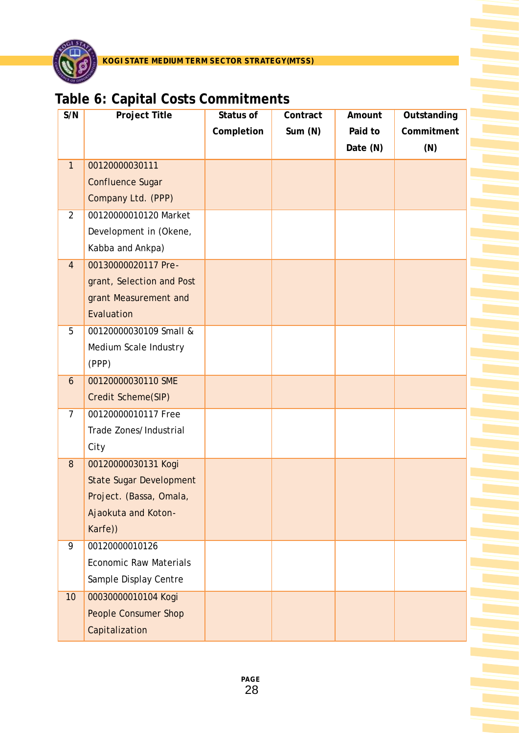

|                | Table 6: Capital Costs Commitments |                         |                     |                               |                                  |  |  |  |  |  |  |
|----------------|------------------------------------|-------------------------|---------------------|-------------------------------|----------------------------------|--|--|--|--|--|--|
| S/N            | Project Title                      | Status of<br>Completion | Contract<br>Sum (N) | Amount<br>Paid to<br>Date (N) | Outstanding<br>Commitment<br>(N) |  |  |  |  |  |  |
| $\mathbf{1}$   | 00120000030111                     |                         |                     |                               |                                  |  |  |  |  |  |  |
|                | <b>Confluence Sugar</b>            |                         |                     |                               |                                  |  |  |  |  |  |  |
|                | Company Ltd. (PPP)                 |                         |                     |                               |                                  |  |  |  |  |  |  |
| 2              | 00120000010120 Market              |                         |                     |                               |                                  |  |  |  |  |  |  |
|                | Development in (Okene,             |                         |                     |                               |                                  |  |  |  |  |  |  |
|                | Kabba and Ankpa)                   |                         |                     |                               |                                  |  |  |  |  |  |  |
| $\overline{4}$ | 00130000020117 Pre-                |                         |                     |                               |                                  |  |  |  |  |  |  |
|                | grant, Selection and Post          |                         |                     |                               |                                  |  |  |  |  |  |  |
|                | grant Measurement and              |                         |                     |                               |                                  |  |  |  |  |  |  |
|                | Evaluation                         |                         |                     |                               |                                  |  |  |  |  |  |  |
| 5              | 00120000030109 Small &             |                         |                     |                               |                                  |  |  |  |  |  |  |
|                | Medium Scale Industry              |                         |                     |                               |                                  |  |  |  |  |  |  |
|                | (PPP)                              |                         |                     |                               |                                  |  |  |  |  |  |  |
| $\mathfrak b$  | 00120000030110 SME                 |                         |                     |                               |                                  |  |  |  |  |  |  |
|                | Credit Scheme(SIP)                 |                         |                     |                               |                                  |  |  |  |  |  |  |
| $\overline{7}$ | 00120000010117 Free                |                         |                     |                               |                                  |  |  |  |  |  |  |
|                | Trade Zones/Industrial             |                         |                     |                               |                                  |  |  |  |  |  |  |
|                | City                               |                         |                     |                               |                                  |  |  |  |  |  |  |
| 8              | 00120000030131 Kogi                |                         |                     |                               |                                  |  |  |  |  |  |  |
|                | <b>State Sugar Development</b>     |                         |                     |                               |                                  |  |  |  |  |  |  |
|                | Project. (Bassa, Omala,            |                         |                     |                               |                                  |  |  |  |  |  |  |
|                | Ajaokuta and Koton-                |                         |                     |                               |                                  |  |  |  |  |  |  |
| 9              | Karfe))<br>00120000010126          |                         |                     |                               |                                  |  |  |  |  |  |  |
|                | <b>Economic Raw Materials</b>      |                         |                     |                               |                                  |  |  |  |  |  |  |
|                |                                    |                         |                     |                               |                                  |  |  |  |  |  |  |
|                | Sample Display Centre              |                         |                     |                               |                                  |  |  |  |  |  |  |
| 10             | 00030000010104 Kogi                |                         |                     |                               |                                  |  |  |  |  |  |  |
|                | <b>People Consumer Shop</b>        |                         |                     |                               |                                  |  |  |  |  |  |  |
|                | Capitalization                     |                         |                     |                               |                                  |  |  |  |  |  |  |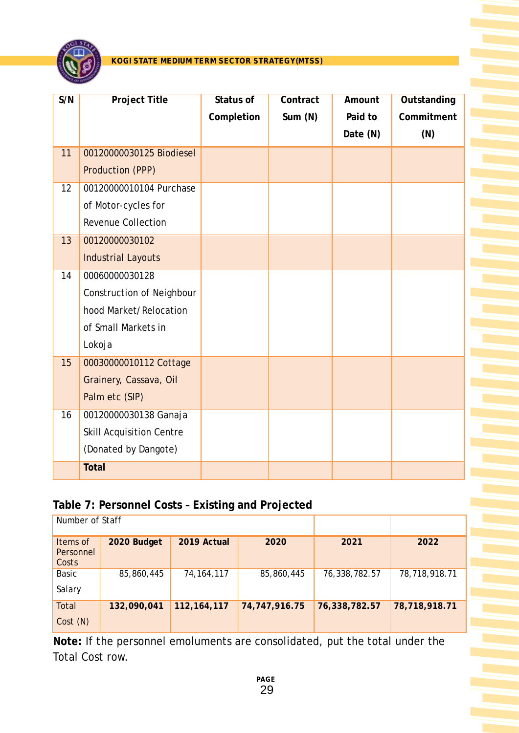

| S/N | Project Title                   | Status of  | Contract | Amount   | Outstanding |
|-----|---------------------------------|------------|----------|----------|-------------|
|     |                                 | Completion | Sum (N)  | Paid to  | Commitment  |
|     |                                 |            |          | Date (N) | (N)         |
| 11  | 00120000030125 Biodiesel        |            |          |          |             |
|     | Production (PPP)                |            |          |          |             |
| 12  | 00120000010104 Purchase         |            |          |          |             |
|     | of Motor-cycles for             |            |          |          |             |
|     | Revenue Collection              |            |          |          |             |
| 13  | 00120000030102                  |            |          |          |             |
|     | <b>Industrial Layouts</b>       |            |          |          |             |
| 14  | 00060000030128                  |            |          |          |             |
|     | Construction of Neighbour       |            |          |          |             |
|     | hood Market/Relocation          |            |          |          |             |
|     | of Small Markets in             |            |          |          |             |
|     | Lokoja                          |            |          |          |             |
| 15  | 00030000010112 Cottage          |            |          |          |             |
|     | Grainery, Cassava, Oil          |            |          |          |             |
|     | Palm etc (SIP)                  |            |          |          |             |
| 16  | 00120000030138 Ganaja           |            |          |          |             |
|     | <b>Skill Acquisition Centre</b> |            |          |          |             |
|     | (Donated by Dangote)            |            |          |          |             |
|     | <b>Total</b>                    |            |          |          |             |

## **Table 7: Personnel Costs – Existing and Projected**

| Number of Staff                |             |               |               |               |               |
|--------------------------------|-------------|---------------|---------------|---------------|---------------|
| Items of<br>Personnel<br>Costs | 2020 Budget | 2019 Actual   | 2020          | 2021          | 2022          |
| Basic<br>Salary                | 85,860,445  | 74, 164, 117  | 85,860,445    | 76,338,782.57 | 78,718,918.71 |
| Total<br>Cost(N)               | 132,090,041 | 112, 164, 117 | 74,747,916.75 | 76,338,782.57 | 78,718,918.71 |

**Note:** If the personnel emoluments are consolidated, put the total under the Total Cost row.

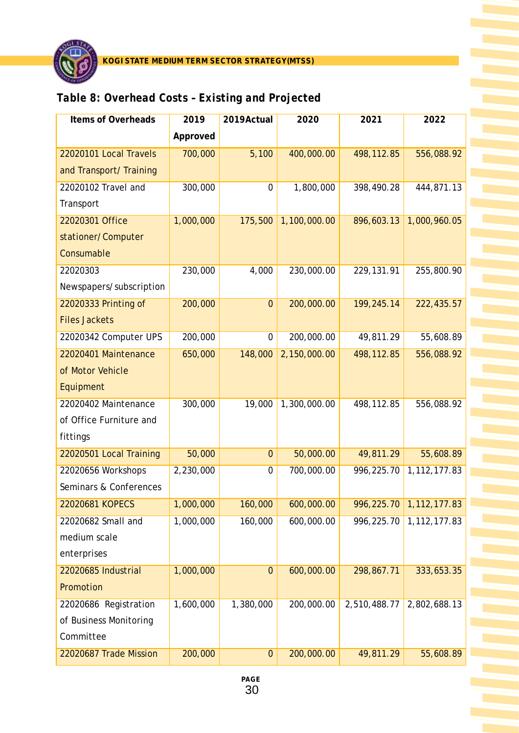

## *Table 8: Overhead Costs – Existing and Projected*

| Items of Overheads      | 2019      | 2019Actual     | 2020         | 2021         | 2022                         |
|-------------------------|-----------|----------------|--------------|--------------|------------------------------|
|                         | Approved  |                |              |              |                              |
| 22020101 Local Travels  | 700,000   | 5,100          | 400,000.00   | 498,112.85   | 556,088.92                   |
| and Transport/Training  |           |                |              |              |                              |
| 22020102 Travel and     | 300,000   | $\mathbf 0$    | 1,800,000    | 398,490.28   | 444,871.13                   |
| Transport               |           |                |              |              |                              |
| 22020301 Office         | 1,000,000 | 175,500        | 1,100,000.00 | 896,603.13   | 1,000,960.05                 |
| stationer/Computer      |           |                |              |              |                              |
| Consumable              |           |                |              |              |                              |
| 22020303                | 230,000   | 4,000          | 230,000.00   | 229, 131.91  | 255,800.90                   |
| Newspapers/subscription |           |                |              |              |                              |
| 22020333 Printing of    | 200,000   | $\overline{0}$ | 200,000.00   | 199,245.14   | 222,435.57                   |
| <b>Files Jackets</b>    |           |                |              |              |                              |
| 22020342 Computer UPS   | 200,000   | $\mathbf 0$    | 200,000.00   | 49,811.29    | 55,608.89                    |
| 22020401 Maintenance    | 650,000   | 148,000        | 2,150,000.00 | 498,112.85   | 556,088.92                   |
| of Motor Vehicle        |           |                |              |              |                              |
| Equipment               |           |                |              |              |                              |
| 22020402 Maintenance    | 300,000   | 19,000         | 1,300,000.00 | 498,112.85   | 556,088.92                   |
| of Office Furniture and |           |                |              |              |                              |
| fittings                |           |                |              |              |                              |
| 22020501 Local Training | 50,000    | $\mathbf 0$    | 50,000.00    | 49,811.29    | 55,608.89                    |
| 22020656 Workshops      | 2,230,000 | $\mathbf 0$    | 700,000.00   | 996,225.70   | 1, 112, 177.83               |
| Seminars & Conferences  |           |                |              |              |                              |
| 22020681 KOPECS         | 1,000,000 | 160,000        | 600,000.00   |              | $996, 225.70$ 1, 112, 177.83 |
| 22020682 Small and      | 1,000,000 | 160,000        | 600,000.00   | 996,225.70   | 1, 112, 177.83               |
| medium scale            |           |                |              |              |                              |
| enterprises             |           |                |              |              |                              |
| 22020685 Industrial     | 1,000,000 | $\overline{0}$ | 600,000.00   | 298,867.71   | 333,653.35                   |
| Promotion               |           |                |              |              |                              |
| 22020686 Registration   | 1,600,000 | 1,380,000      | 200,000.00   | 2,510,488.77 | 2,802,688.13                 |
| of Business Monitoring  |           |                |              |              |                              |
| Committee               |           |                |              |              |                              |
| 22020687 Trade Mission  | 200,000   | $\mathbf 0$    | 200,000.00   | 49,811.29    | 55,608.89                    |

**PAGE**  30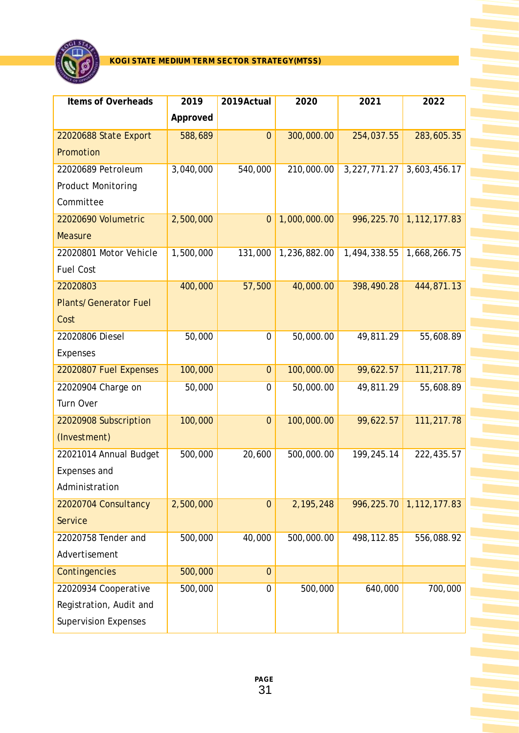

| Items of Overheads           | 2019      | 2019Actual       | 2020         | 2021         | 2022           |
|------------------------------|-----------|------------------|--------------|--------------|----------------|
|                              | Approved  |                  |              |              |                |
| 22020688 State Export        | 588,689   | $\overline{0}$   | 300,000.00   | 254,037.55   | 283,605.35     |
| Promotion                    |           |                  |              |              |                |
| 22020689 Petroleum           | 3,040,000 | 540,000          | 210,000.00   | 3,227,771.27 | 3,603,456.17   |
| Product Monitoring           |           |                  |              |              |                |
| Committee                    |           |                  |              |              |                |
| 22020690 Volumetric          | 2,500,000 | $\mathbf 0$      | 1,000,000.00 | 996,225.70   | 1, 112, 177.83 |
| <b>Measure</b>               |           |                  |              |              |                |
| 22020801 Motor Vehicle       | 1,500,000 | 131,000          | 1,236,882.00 | 1,494,338.55 | 1,668,266.75   |
| <b>Fuel Cost</b>             |           |                  |              |              |                |
| 22020803                     | 400,000   | 57,500           | 40,000.00    | 398,490.28   | 444,871.13     |
| <b>Plants/Generator Fuel</b> |           |                  |              |              |                |
| Cost                         |           |                  |              |              |                |
| 22020806 Diesel              | 50,000    | $\mathbf 0$      | 50,000.00    | 49,811.29    | 55,608.89      |
| Expenses                     |           |                  |              |              |                |
| 22020807 Fuel Expenses       | 100,000   | $\overline{0}$   | 100,000.00   | 99,622.57    | 111,217.78     |
| 22020904 Charge on           | 50,000    | $\overline{0}$   | 50,000.00    | 49,811.29    | 55,608.89      |
| Turn Over                    |           |                  |              |              |                |
| 22020908 Subscription        | 100,000   | $\overline{0}$   | 100,000.00   | 99,622.57    | 111,217.78     |
| (Investment)                 |           |                  |              |              |                |
| 22021014 Annual Budget       | 500,000   | 20,600           | 500,000.00   | 199,245.14   | 222,435.57     |
| Expenses and                 |           |                  |              |              |                |
| Administration               |           |                  |              |              |                |
| 22020704 Consultancy         | 2,500,000 | $\overline{0}$   | 2,195,248    | 996,225.70   | 1,112,177.83   |
| Service                      |           |                  |              |              |                |
| 22020758 Tender and          | 500,000   | 40,000           | 500,000.00   | 498,112.85   | 556,088.92     |
| Advertisement                |           |                  |              |              |                |
| Contingencies                | 500,000   | $\mathbf 0$      |              |              |                |
| 22020934 Cooperative         | 500,000   | $\boldsymbol{0}$ | 500,000      | 640,000      | 700,000        |
| Registration, Audit and      |           |                  |              |              |                |
| <b>Supervision Expenses</b>  |           |                  |              |              |                |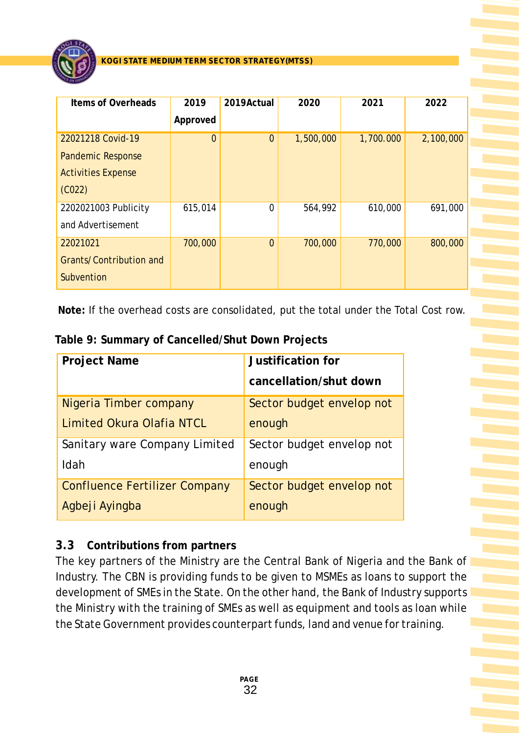

| Items of Overheads        | 2019           | 2019Actual     | 2020      | 2021      | 2022      |
|---------------------------|----------------|----------------|-----------|-----------|-----------|
|                           | Approved       |                |           |           |           |
| 22021218 Covid-19         | $\overline{0}$ | $\overline{0}$ | 1,500,000 | 1,700.000 | 2,100,000 |
| Pandemic Response         |                |                |           |           |           |
| <b>Activities Expense</b> |                |                |           |           |           |
| (C022)                    |                |                |           |           |           |
| 2202021003 Publicity      | 615,014        | $\Omega$       | 564,992   | 610,000   | 691,000   |
| and Advertisement         |                |                |           |           |           |
| 22021021                  | 700,000        | $\Omega$       | 700,000   | 770,000   | 800,000   |
| Grants/Contribution and   |                |                |           |           |           |
| Subvention                |                |                |           |           |           |

**Note:** If the overhead costs are consolidated, put the total under the Total Cost row.

| Table 9: Summary of Cancelled/Shut Down Projects |  |
|--------------------------------------------------|--|
|--------------------------------------------------|--|

| Project Name                         | Justification for         |
|--------------------------------------|---------------------------|
|                                      | cancellation/shut down    |
| Nigeria Timber company               | Sector budget envelop not |
| Limited Okura Olafia NTCL            | enough                    |
| Sanitary ware Company Limited        | Sector budget envelop not |
| Idah                                 | enough                    |
| <b>Confluence Fertilizer Company</b> | Sector budget envelop not |
| Agbeji Ayingba                       | enough                    |

## **3.3 Contributions from partners**

The key partners of the Ministry are the Central Bank of Nigeria and the Bank of Industry. The CBN is providing funds to be given to MSMEs as loans to support the development of SMEs in the State. On the other hand, the Bank of Industry supports the Ministry with the training of SMEs as well as equipment and tools as loan while the State Government provides counterpart funds, land and venue for training.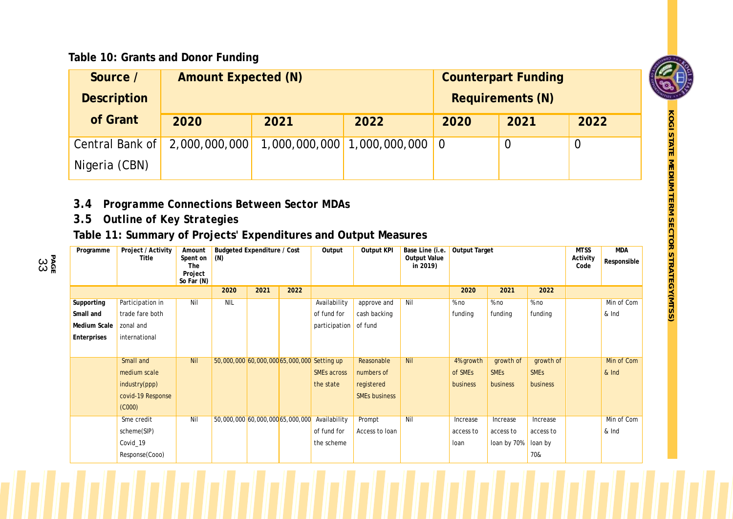### **Table 10: Grants and Donor Funding**

| Source /        | Amount Expected (N) |      | <b>Counterpart Funding</b>      |      |      |      |  |
|-----------------|---------------------|------|---------------------------------|------|------|------|--|
| Description     |                     |      | Requirements (N)                |      |      |      |  |
| of Grant        | 2020                | 2021 | 2022                            | 2020 | 2021 | 2022 |  |
| Central Bank of | 2,000,000,000       |      | $1,000,000,000$ 1,000,000,000 0 |      |      |      |  |
| Nigeria (CBN)   |                     |      |                                 |      |      |      |  |

- *3.4 Programme Connections Between Sector MDAs*
- *3.5 Outline of Key Strategies*

**PA** န္က တ<br>အ

## **Table 11: Summary of Projects' Expenditures and Output Measures**

| Programme    | Project / Activity<br>Title | Amount<br>Spent on<br>The<br>Project<br>So Far (N) | Budgeted Expenditure / Cost<br>(N)          |      |      | Output        | Output KPI           | Base Line (i.e.<br>Output Value<br>in 2019) | Output Target |             | <b>MTSS</b><br>Activity<br>Code | <b>MDA</b><br>Responsible |            |
|--------------|-----------------------------|----------------------------------------------------|---------------------------------------------|------|------|---------------|----------------------|---------------------------------------------|---------------|-------------|---------------------------------|---------------------------|------------|
|              |                             |                                                    | 2020                                        | 2021 | 2022 |               |                      |                                             | 2020          | 2021        | 2022                            |                           |            |
| Supporting   | Participation in            | Nil                                                | <b>NIL</b>                                  |      |      | Availability  | approve and          | Nil                                         | $%$ no        | $%$ no      | $%$ no                          |                           | Min of Com |
| Small and    | trade fare both             |                                                    |                                             |      |      | of fund for   | cash backing         |                                             | funding       | funding     | funding                         |                           | & Ind      |
| Medium Scale | zonal and                   |                                                    |                                             |      |      | participation | of fund              |                                             |               |             |                                 |                           |            |
| Enterprises  | international               |                                                    |                                             |      |      |               |                      |                                             |               |             |                                 |                           |            |
|              |                             |                                                    |                                             |      |      |               |                      |                                             |               |             |                                 |                           |            |
|              | Small and                   | Nil                                                | 50,000,000 60,000,000 65,000,000 Setting up |      |      |               | Reasonable           | <b>Nil</b>                                  | 4% growth     | growth of   | growth of                       |                           | Min of Com |
|              | medium scale                |                                                    |                                             |      |      | SMEs across   | numbers of           |                                             | of SMEs       | <b>SMEs</b> | <b>SME<sub>s</sub></b>          |                           | & Ind      |
|              | industry(ppp)               |                                                    |                                             |      |      | the state     | registered           |                                             | business      | business    | <b>business</b>                 |                           |            |
|              | covid-19 Response           |                                                    |                                             |      |      |               | <b>SMEs business</b> |                                             |               |             |                                 |                           |            |
|              | (C000)                      |                                                    |                                             |      |      |               |                      |                                             |               |             |                                 |                           |            |
|              | Sme credit                  | Nil                                                | 50,000,000 60,000,000 65,000,000            |      |      | Availability  | Prompt               | Nil                                         | Increase      | Increase    | Increase                        |                           | Min of Com |
|              | scheme(SIP)                 |                                                    |                                             |      |      | of fund for   | Access to loan       |                                             | access to     | access to   | access to                       |                           | & Ind      |
|              | Covid_19                    |                                                    |                                             |      |      | the scheme    |                      |                                             | Ioan          | loan by 70% | loan by                         |                           |            |
|              | Response(Cooo)              |                                                    |                                             |      |      |               |                      |                                             |               |             | 70&                             |                           |            |

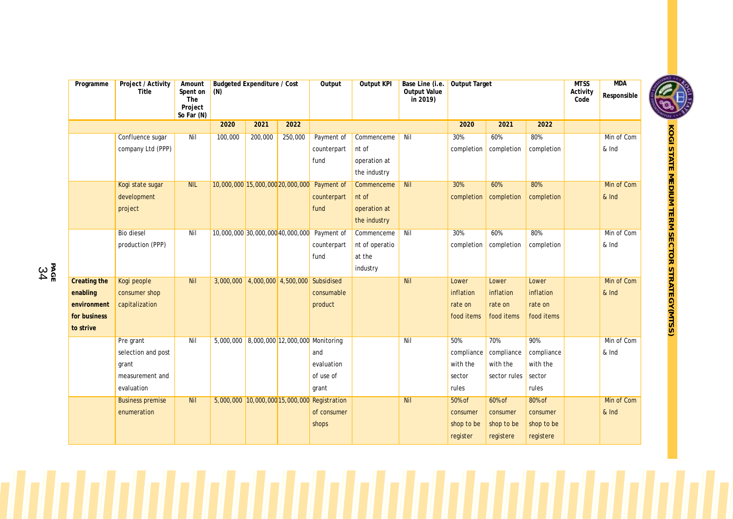| Programme    | Project / Activity<br>Title | Amount<br>Spent on<br>The<br>Project<br>So Far (N) | <b>Budgeted Expenditure / Cost</b><br>(N) |         | Output  | Output KPI                                   | Base Line (i.e.<br>Output Value<br>in 2019) | Output Target |            |              | <b>MTSS</b><br>Activity<br>Code | <b>MDA</b><br>Responsible |            |
|--------------|-----------------------------|----------------------------------------------------|-------------------------------------------|---------|---------|----------------------------------------------|---------------------------------------------|---------------|------------|--------------|---------------------------------|---------------------------|------------|
|              |                             |                                                    | 2020                                      | 2021    | 2022    |                                              |                                             |               | 2020       | 2021         | 2022                            |                           |            |
|              | Confluence sugar            | <b>Nil</b>                                         | 100,000                                   | 200,000 | 250,000 | Payment of                                   | Commenceme                                  | Nil           | 30%        | 60%          | 80%                             |                           | Min of Com |
|              | company Ltd (PPP)           |                                                    |                                           |         |         | counterpart                                  | nt of                                       |               | completion | completion   | completion                      |                           | & Ind      |
|              |                             |                                                    |                                           |         |         | fund                                         | operation at                                |               |            |              |                                 |                           |            |
|              |                             |                                                    |                                           |         |         |                                              | the industry                                |               |            |              |                                 |                           |            |
|              | Kogi state sugar            | <b>NIL</b>                                         |                                           |         |         | 10,000,000 15,000,000 20,000,000 Payment of  | Commenceme                                  | <b>Nil</b>    | 30%        | 60%          | 80%                             |                           | Min of Com |
|              | development                 |                                                    |                                           |         |         | counterpart                                  | nt of                                       |               | completion | completion   | completion                      |                           | & Ind      |
|              | project                     |                                                    |                                           |         |         | fund                                         | operation at                                |               |            |              |                                 |                           |            |
|              |                             |                                                    |                                           |         |         |                                              | the industry                                |               |            |              |                                 |                           |            |
|              | <b>Bio diesel</b>           | Nil                                                |                                           |         |         | 10,000,000 30,000,000 40,000,000 Payment of  | Commenceme                                  | Nil           | 30%        | 60%          | 80%                             |                           | Min of Com |
|              | production (PPP)            |                                                    |                                           |         |         | counterpart                                  | nt of operatio                              |               | completion | completion   | completion                      |                           | & Ind      |
|              |                             |                                                    |                                           |         |         | fund                                         | at the                                      |               |            |              |                                 |                           |            |
|              |                             |                                                    |                                           |         |         |                                              | industry                                    |               |            |              |                                 |                           |            |
| Creating the | Kogi people                 | <b>Nil</b>                                         |                                           |         |         | 3,000,000 4,000,000 4,500,000 Subsidised     |                                             | <b>Nil</b>    | Lower      | Lower        | Lower                           |                           | Min of Com |
| enabling     | consumer shop               |                                                    |                                           |         |         | consumable                                   |                                             |               | inflation  | inflation    | inflation                       |                           | & Ind      |
| environment  | capitalization              |                                                    |                                           |         |         | product                                      |                                             |               | rate on    | rate on      | rate on                         |                           |            |
| for business |                             |                                                    |                                           |         |         |                                              |                                             |               | food items | food items   | food items                      |                           |            |
| to strive    |                             |                                                    |                                           |         |         |                                              |                                             |               |            |              |                                 |                           |            |
|              | Pre grant                   | Nil                                                |                                           |         |         | 5,000,000 8,000,000 12,000,000 Monitoring    |                                             | <b>Nil</b>    | 50%        | 70%          | 90%                             |                           | Min of Com |
|              | selection and post          |                                                    |                                           |         |         | and                                          |                                             |               | compliance | compliance   | compliance                      |                           | & Ind      |
|              | grant                       |                                                    |                                           |         |         | evaluation                                   |                                             |               | with the   | with the     | with the                        |                           |            |
|              | measurement and             |                                                    |                                           |         |         | of use of                                    |                                             |               | sector     | sector rules | sector                          |                           |            |
|              | evaluation                  |                                                    |                                           |         |         | grant                                        |                                             |               | rules      |              | rules                           |                           |            |
|              | <b>Business premise</b>     | <b>Nil</b>                                         |                                           |         |         | 5,000,000 10,000,000 15,000,000 Registration |                                             | <b>Nil</b>    | 50% of     | 60% of       | 80% of                          |                           | Min of Com |
|              | enumeration                 |                                                    |                                           |         |         | of consumer                                  |                                             |               | consumer   | consumer     | consumer                        |                           | & Ind      |
|              |                             |                                                    |                                           |         |         | shops                                        |                                             |               | shop to be | shop to be   | shop to be                      |                           |            |
|              |                             |                                                    |                                           |         |         |                                              |                                             |               | register   | registere    | registere                       |                           |            |

**PA GE** 3 4

**S TAT E M E DIU M T E R M S E C T O R** STRATEGY(MTSS)

**K O GI**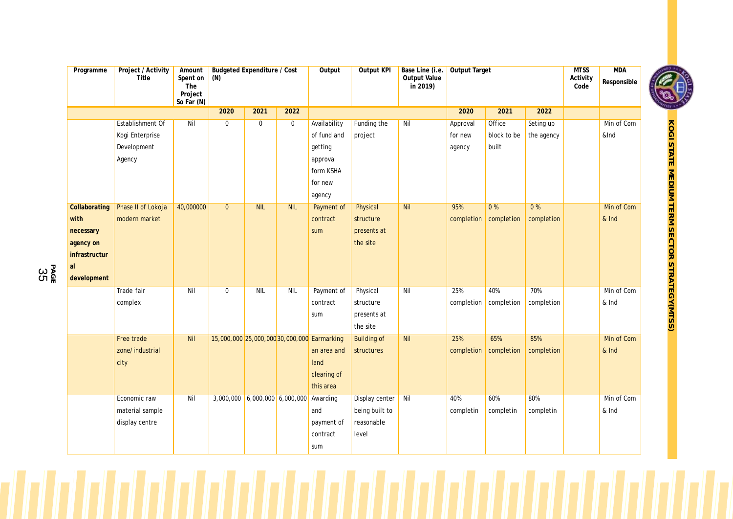| Programme     | Project / Activity<br>Title | Amount<br>Spent on<br>The<br>Project<br>So Far (N) | <b>Budgeted Expenditure / Cost</b><br>(N) |             |             | Output                                      | Output KPI         | Base Line (i.e.<br>Output Value<br>in 2019) | <b>Output Target</b> |             |            | <b>MTSS</b><br>Activity<br>Code | <b>MDA</b><br>Responsible |                                                     |
|---------------|-----------------------------|----------------------------------------------------|-------------------------------------------|-------------|-------------|---------------------------------------------|--------------------|---------------------------------------------|----------------------|-------------|------------|---------------------------------|---------------------------|-----------------------------------------------------|
|               |                             |                                                    | 2020                                      | 2021        | 2022        |                                             |                    |                                             | 2020                 | 2021        | 2022       |                                 |                           |                                                     |
|               | Establishment Of            | Nil                                                | $\mathbf 0$                               | $\mathbf 0$ | $\mathbf 0$ | Availability                                | Funding the        | Nil                                         | Approval             | Office      | Seting up  |                                 | Min of Com                |                                                     |
|               | Kogi Enterprise             |                                                    |                                           |             |             | of fund and                                 | project            |                                             | for new              | block to be | the agency |                                 | &Ind                      |                                                     |
|               | Development                 |                                                    |                                           |             |             | getting                                     |                    |                                             | agency               | built       |            |                                 |                           |                                                     |
|               | Agency                      |                                                    |                                           |             |             | approval                                    |                    |                                             |                      |             |            |                                 |                           |                                                     |
|               |                             |                                                    |                                           |             |             | form KSHA                                   |                    |                                             |                      |             |            |                                 |                           |                                                     |
|               |                             |                                                    |                                           |             |             | for new                                     |                    |                                             |                      |             |            |                                 |                           |                                                     |
|               |                             |                                                    |                                           |             |             | agency                                      |                    |                                             |                      |             |            |                                 |                           |                                                     |
| Collaborating | Phase II of Lokoja          | 40,000000                                          | $\overline{0}$                            | <b>NIL</b>  | <b>NIL</b>  | Payment of                                  | Physical           | <b>Nil</b>                                  | 95%                  | 0%          | 0%         |                                 | Min of Com                |                                                     |
| with          | modern market               |                                                    |                                           |             |             | contract                                    | structure          |                                             | completion           | completion  | completion |                                 | & Ind                     |                                                     |
| necessary     |                             |                                                    |                                           |             |             | sum                                         | presents at        |                                             |                      |             |            |                                 |                           |                                                     |
| agency on     |                             |                                                    |                                           |             |             |                                             | the site           |                                             |                      |             |            |                                 |                           |                                                     |
| infrastructur |                             |                                                    |                                           |             |             |                                             |                    |                                             |                      |             |            |                                 |                           | <b>KOGI STATE MEDIUM TERM SECTOR STRATEGY(MTSS)</b> |
| al            |                             |                                                    |                                           |             |             |                                             |                    |                                             |                      |             |            |                                 |                           |                                                     |
| development   |                             |                                                    |                                           |             |             |                                             |                    |                                             |                      |             |            |                                 |                           |                                                     |
|               | Trade fair                  | Nil                                                | $\mathbf{0}$                              | <b>NIL</b>  | NIL         | Payment of                                  | Physical           | Nil                                         | 25%                  | 40%         | 70%        |                                 | Min of Com                |                                                     |
|               | complex                     |                                                    |                                           |             |             | contract                                    | structure          |                                             | completion           | completion  | completion |                                 | & Ind                     |                                                     |
|               |                             |                                                    |                                           |             |             | sum                                         | presents at        |                                             |                      |             |            |                                 |                           |                                                     |
|               |                             |                                                    |                                           |             |             |                                             | the site           |                                             |                      |             |            |                                 |                           |                                                     |
|               | Free trade                  | <b>Nil</b>                                         |                                           |             |             | 15,000,000 25,000,000 30,000,000 Earmarking | <b>Building of</b> | <b>Nil</b>                                  | 25%                  | 65%         | 85%        |                                 | Min of Com                |                                                     |
|               | zone/industrial             |                                                    |                                           |             |             | an area and                                 | structures         |                                             | completion           | completion  | completion |                                 | & Ind                     |                                                     |
|               | city                        |                                                    |                                           |             |             | land                                        |                    |                                             |                      |             |            |                                 |                           |                                                     |
|               |                             |                                                    |                                           |             |             | clearing of                                 |                    |                                             |                      |             |            |                                 |                           |                                                     |
|               |                             |                                                    |                                           |             |             | this area                                   |                    |                                             |                      |             |            |                                 |                           |                                                     |
|               | Economic raw                | Nil                                                | $3,000,000$ 6,000,000 6,000,000           |             |             | Awarding                                    | Display center     | Nil                                         | 40%                  | 60%         | 80%        |                                 | Min of Com                |                                                     |
|               | material sample             |                                                    |                                           |             |             | and                                         | being built to     |                                             | completin            | completin   | completin  |                                 | & Ind                     |                                                     |
|               | display centre              |                                                    |                                           |             |             | payment of                                  | reasonable         |                                             |                      |             |            |                                 |                           |                                                     |
|               |                             |                                                    |                                           |             |             | contract                                    | level              |                                             |                      |             |            |                                 |                           |                                                     |
|               |                             |                                                    |                                           |             |             | sum                                         |                    |                                             |                      |             |            |                                 |                           |                                                     |

**PA** န္ က<br>၃<br>၁

71 I J J J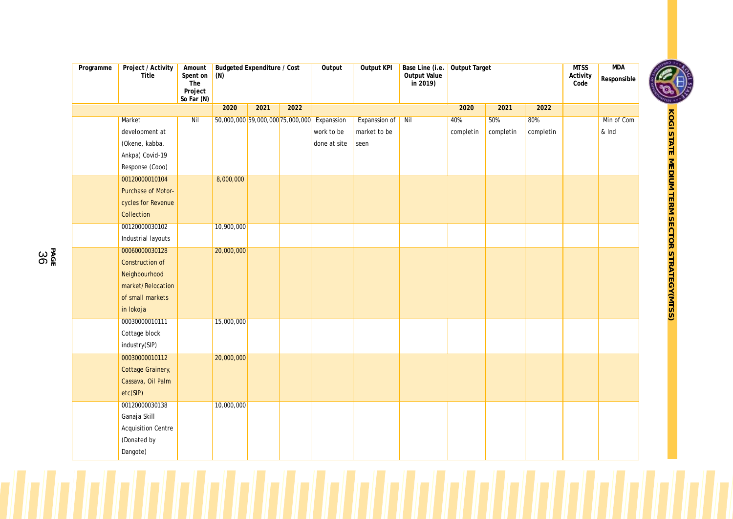| Programme | Project / Activity<br>Title | Amount<br>Spent on<br>The<br>Project<br>So Far $(N)$ | <b>Budgeted Expenditure / Cost</b><br>(N) |      | Output | <b>Output KPI</b>                           | Base Line (i.e.<br>Output Value<br>$\overline{1}$ (n 2019) | Output Target |           | <b>MTSS</b><br>Activity<br>Code | <b>MDA</b><br>Responsible | S<br>her.+ |            |                                              |
|-----------|-----------------------------|------------------------------------------------------|-------------------------------------------|------|--------|---------------------------------------------|------------------------------------------------------------|---------------|-----------|---------------------------------|---------------------------|------------|------------|----------------------------------------------|
|           |                             |                                                      | 2020                                      | 2021 | 2022   |                                             |                                                            |               | 2020      | 2021                            | 2022                      |            |            |                                              |
|           | Market                      | Nil                                                  |                                           |      |        | 50,000,000 59,000,000 75,000,000 Expanssion | Expanssion of                                              | Nil           | 40%       | 50%                             | 80%                       |            | Min of Com |                                              |
|           | development at              |                                                      |                                           |      |        | work to be                                  | market to be                                               |               | completin | completin                       | completin                 |            | & Ind      |                                              |
|           | (Okene, kabba,              |                                                      |                                           |      |        | done at site                                | seen                                                       |               |           |                                 |                           |            |            |                                              |
|           | Ankpa) Covid-19             |                                                      |                                           |      |        |                                             |                                                            |               |           |                                 |                           |            |            |                                              |
|           | Response (Cooo)             |                                                      |                                           |      |        |                                             |                                                            |               |           |                                 |                           |            |            | KOGI STATE MEDIUM TERM SECTOR STRATEGY(MTSS) |
|           | 00120000010104              |                                                      | 8,000,000                                 |      |        |                                             |                                                            |               |           |                                 |                           |            |            |                                              |
|           | Purchase of Motor-          |                                                      |                                           |      |        |                                             |                                                            |               |           |                                 |                           |            |            |                                              |
|           | cycles for Revenue          |                                                      |                                           |      |        |                                             |                                                            |               |           |                                 |                           |            |            |                                              |
|           | Collection                  |                                                      |                                           |      |        |                                             |                                                            |               |           |                                 |                           |            |            |                                              |
|           | 00120000030102              |                                                      | 10,900,000                                |      |        |                                             |                                                            |               |           |                                 |                           |            |            |                                              |
|           | Industrial layouts          |                                                      |                                           |      |        |                                             |                                                            |               |           |                                 |                           |            |            |                                              |
|           | 00060000030128              |                                                      | 20,000,000                                |      |        |                                             |                                                            |               |           |                                 |                           |            |            |                                              |
|           | Construction of             |                                                      |                                           |      |        |                                             |                                                            |               |           |                                 |                           |            |            |                                              |
|           | Neighbourhood               |                                                      |                                           |      |        |                                             |                                                            |               |           |                                 |                           |            |            |                                              |
|           | market/Relocation           |                                                      |                                           |      |        |                                             |                                                            |               |           |                                 |                           |            |            |                                              |
|           | of small markets            |                                                      |                                           |      |        |                                             |                                                            |               |           |                                 |                           |            |            |                                              |
|           | in lokoja                   |                                                      |                                           |      |        |                                             |                                                            |               |           |                                 |                           |            |            |                                              |
|           | 00030000010111              |                                                      | 15,000,000                                |      |        |                                             |                                                            |               |           |                                 |                           |            |            |                                              |
|           | Cottage block               |                                                      |                                           |      |        |                                             |                                                            |               |           |                                 |                           |            |            |                                              |
|           | industry(SIP)               |                                                      |                                           |      |        |                                             |                                                            |               |           |                                 |                           |            |            |                                              |
|           | 00030000010112              |                                                      | 20,000,000                                |      |        |                                             |                                                            |               |           |                                 |                           |            |            |                                              |
|           | Cottage Grainery,           |                                                      |                                           |      |        |                                             |                                                            |               |           |                                 |                           |            |            |                                              |
|           | Cassava, Oil Palm           |                                                      |                                           |      |        |                                             |                                                            |               |           |                                 |                           |            |            |                                              |
|           | etc(SIP)                    |                                                      |                                           |      |        |                                             |                                                            |               |           |                                 |                           |            |            |                                              |
|           | 00120000030138              |                                                      | 10,000,000                                |      |        |                                             |                                                            |               |           |                                 |                           |            |            |                                              |
|           | Ganaja Skill                |                                                      |                                           |      |        |                                             |                                                            |               |           |                                 |                           |            |            |                                              |
|           | <b>Acquisition Centre</b>   |                                                      |                                           |      |        |                                             |                                                            |               |           |                                 |                           |            |            |                                              |
|           | (Donated by                 |                                                      |                                           |      |        |                                             |                                                            |               |           |                                 |                           |            |            |                                              |
|           | Dangote)                    |                                                      |                                           |      |        |                                             |                                                            |               |           |                                 |                           |            |            |                                              |

North Card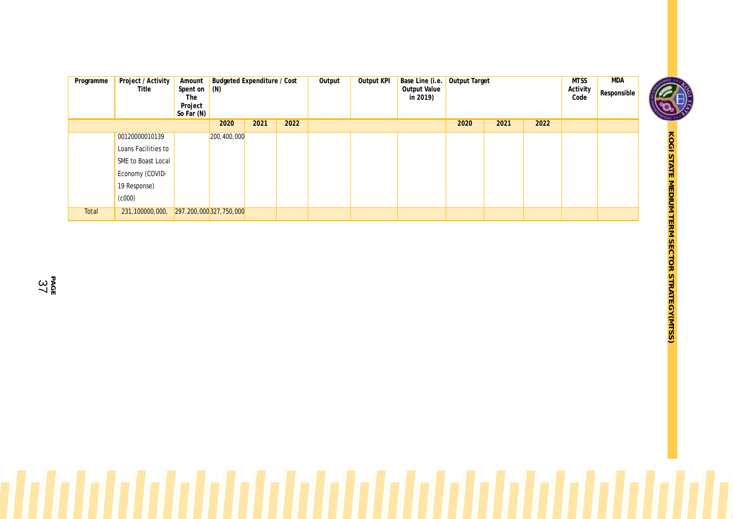| Programme | Project / Activity<br>Title | Amount<br>Spent on<br>The<br>Project<br>So Far (N) | Budgeted Expenditure / Cost<br>(N) |      |      | Output | Output KPI | Base Line (i.e.<br>Output Value<br>in 2019) | Output Target |      |      | <b>MTSS</b><br>Activity<br>Code | <b>MDA</b><br>Responsible |
|-----------|-----------------------------|----------------------------------------------------|------------------------------------|------|------|--------|------------|---------------------------------------------|---------------|------|------|---------------------------------|---------------------------|
|           |                             |                                                    | 2020                               | 2021 | 2022 |        |            |                                             | 2020          | 2021 | 2022 |                                 |                           |
|           | 00120000010139              |                                                    | 200,400,000                        |      |      |        |            |                                             |               |      |      |                                 |                           |
|           | Loans Facilities to         |                                                    |                                    |      |      |        |            |                                             |               |      |      |                                 |                           |
|           | SME to Boast Local          |                                                    |                                    |      |      |        |            |                                             |               |      |      |                                 |                           |
|           | Economy (COVID-             |                                                    |                                    |      |      |        |            |                                             |               |      |      |                                 |                           |
|           | 19 Response)                |                                                    |                                    |      |      |        |            |                                             |               |      |      |                                 |                           |
|           | (000)                       |                                                    |                                    |      |      |        |            |                                             |               |      |      |                                 |                           |
| Total     | 231,100000,000,             |                                                    | 297.200,000 327,750,000            |      |      |        |            |                                             |               |      |      |                                 |                           |

**KOGI**

**STATE**

**MEDIUM**

**TERM**

**SECTOR**

**STRATEGY(MTSS)**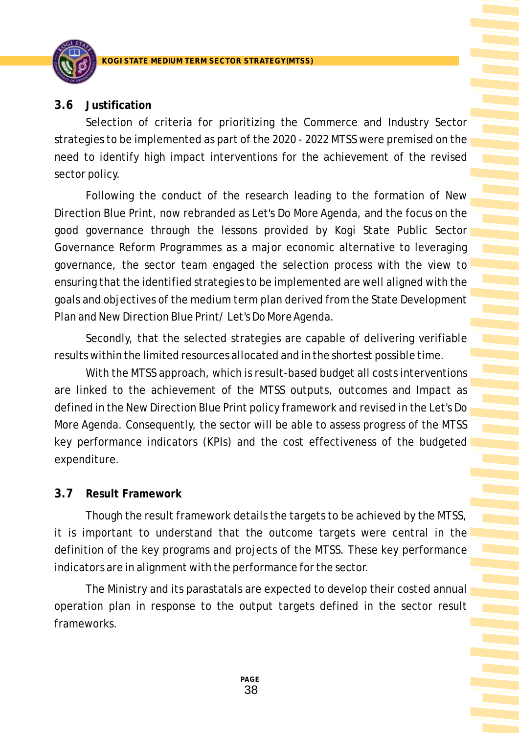

## **3.6 Justification**

Selection of criteria for prioritizing the Commerce and Industry Sector strategies to be implemented as part of the 2020 - 2022 MTSS were premised on the need to identify high impact interventions for the achievement of the revised sector policy.

Following the conduct of the research leading to the formation of New Direction Blue Print, now rebranded as Let's Do More Agenda, and the focus on the good governance through the lessons provided by Kogi State Public Sector Governance Reform Programmes as a major economic alternative to leveraging governance, the sector team engaged the selection process with the view to ensuring that the identified strategies to be implemented are well aligned with the goals and objectives of the medium term plan derived from the State Development Plan and New Direction Blue Print/ Let's Do More Agenda.

Secondly, that the selected strategies are capable of delivering verifiable results within the limited resources allocated and in the shortest possible time.

With the MTSS approach, which is result-based budget all costs interventions are linked to the achievement of the MTSS outputs, outcomes and Impact as defined in the New Direction Blue Print policy framework and revised in the Let's Do More Agenda. Consequently, the sector will be able to assess progress of the MTSS key performance indicators (KPIs) and the cost effectiveness of the budgeted expenditure.

## **3.7 Result Framework**

Though the result framework details the targets to be achieved by the MTSS, it is important to understand that the outcome targets were central in the definition of the key programs and projects of the MTSS. These key performance indicators are in alignment with the performance for the sector.

The Ministry and its parastatals are expected to develop their costed annual operation plan in response to the output targets defined in the sector result frameworks.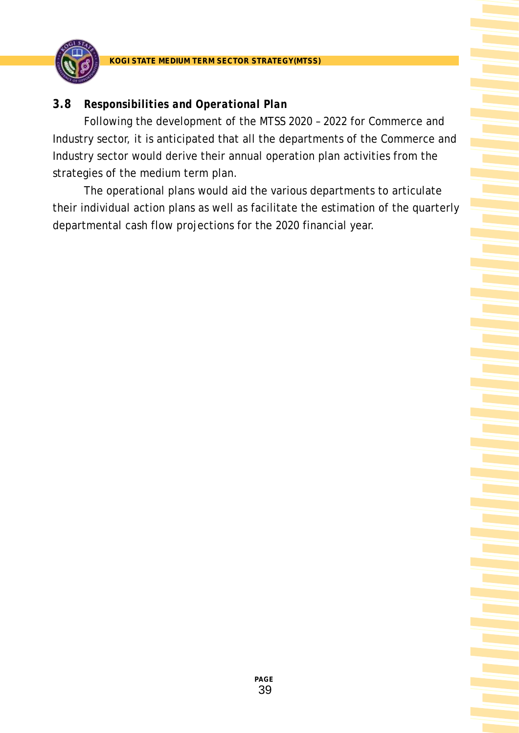

## *3.8 Responsibilities and Operational Plan*

Following the development of the MTSS 2020 – 2022 for Commerce and Industry sector, it is anticipated that all the departments of the Commerce and Industry sector would derive their annual operation plan activities from the strategies of the medium term plan.

The operational plans would aid the various departments to articulate their individual action plans as well as facilitate the estimation of the quarterly departmental cash flow projections for the 2020 financial year.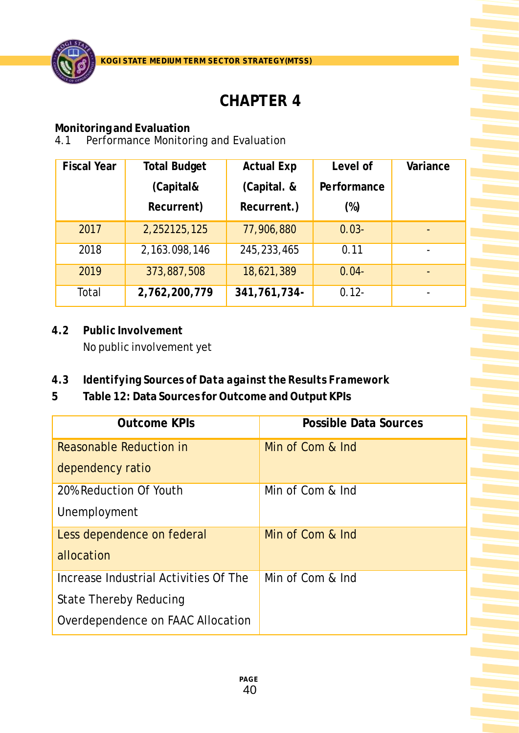

# **CHAPTER 4**

**Monitoring and Evaluation**

4.1 Performance Monitoring and Evaluation

| <b>Fiscal Year</b> | <b>Total Budget</b> | <b>Actual Exp</b> | Level of    | Variance                     |
|--------------------|---------------------|-------------------|-------------|------------------------------|
|                    | (Capital&           | (Capital. &       | Performance |                              |
|                    | Recurrent)          | Recurrent.)       | $(\%)$      |                              |
| 2017               | 2,252125,125        | 77,906,880        | $0.03 -$    |                              |
| 2018               | 2,163.098,146       | 245, 233, 465     | 0.11        |                              |
| 2019               | 373,887,508         | 18,621,389        | $0.04 -$    | $\qquad \qquad \blacksquare$ |
| Total              | 2,762,200,779       | 341, 761, 734-    | $0.12 -$    |                              |

- *4.2 Public Involvement* No public involvement yet
- *4.3 Identifying Sources of Data against the Results Framework*
- **5 Table 12: Data Sources for Outcome and Output KPIs**

| <b>Outcome KPIs</b>                   | <b>Possible Data Sources</b> |
|---------------------------------------|------------------------------|
| Reasonable Reduction in               | Min of Com & Ind             |
| dependency ratio                      |                              |
| 20% Reduction Of Youth                | Min of Com & Ind             |
| Unemployment                          |                              |
| Less dependence on federal            | Min of Com & Ind             |
| allocation                            |                              |
| Increase Industrial Activities Of The | Min of Com & Ind             |
| State Thereby Reducing                |                              |
| Overdependence on FAAC Allocation     |                              |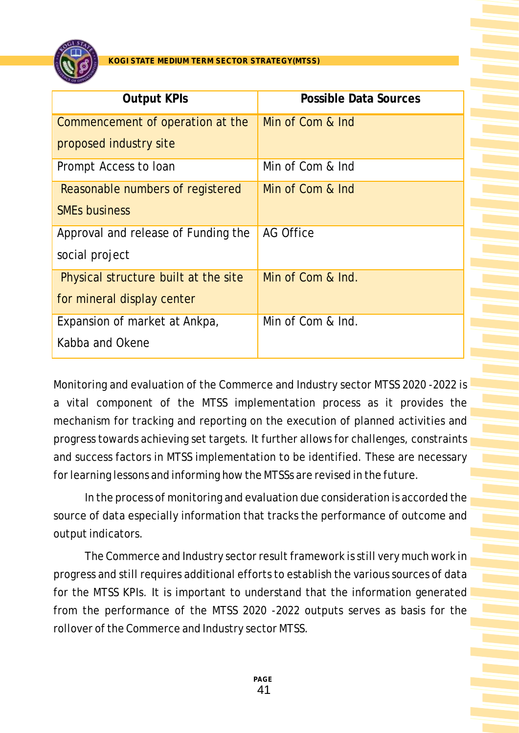

| <b>Output KPIs</b>                   | Possible Data Sources |
|--------------------------------------|-----------------------|
| Commencement of operation at the     | Min of Com & Ind      |
| proposed industry site               |                       |
| Prompt Access to Ioan                | Min of Com & Ind      |
| Reasonable numbers of registered     | Min of Com & Ind      |
| <b>SMEs business</b>                 |                       |
| Approval and release of Funding the  | <b>AG Office</b>      |
| social project                       |                       |
| Physical structure built at the site | Min of Com & Ind.     |
| for mineral display center           |                       |
| Expansion of market at Ankpa,        | Min of Com & Ind.     |
| Kabba and Okene                      |                       |

Monitoring and evaluation of the Commerce and Industry sector MTSS 2020 -2022 is a vital component of the MTSS implementation process as it provides the mechanism for tracking and reporting on the execution of planned activities and progress towards achieving set targets. It further allows for challenges, constraints and success factors in MTSS implementation to be identified. These are necessary for learning lessons and informing how the MTSSs are revised in the future.

In the process of monitoring and evaluation due consideration is accorded the source of data especially information that tracks the performance of outcome and output indicators.

The Commerce and Industry sector result framework is still very much work in progress and still requires additional efforts to establish the various sources of data for the MTSS KPIs. It is important to understand that the information generated from the performance of the MTSS 2020 -2022 outputs serves as basis for the rollover of the Commerce and Industry sector MTSS.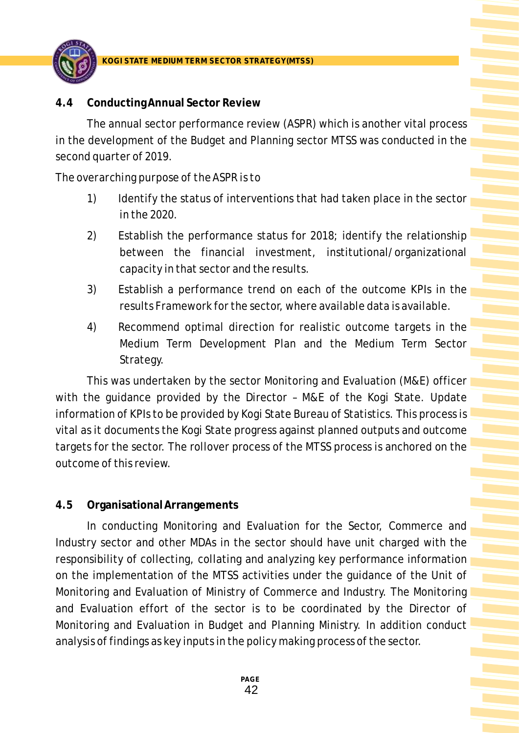

### **4.4 Conducting Annual Sector Review**

The annual sector performance review (ASPR) which is another vital process in the development of the Budget and Planning sector MTSS was conducted in the second quarter of 2019.

### *The overarching purpose of the ASPR is to*

- 1) Identify the status of interventions that had taken place in the sector in the 2020.
- 2) Establish the performance status for 2018; identify the relationship between the financial investment, institutional/organizational capacity in that sector and the results.
- 3) Establish a performance trend on each of the outcome KPIs in the results Framework for the sector, where available data is available.
- 4) Recommend optimal direction for realistic outcome targets in the Medium Term Development Plan and the Medium Term Sector Strategy.

This was undertaken by the sector Monitoring and Evaluation (M&E) officer with the guidance provided by the Director – M&E of the Kogi State. Update information of KPIs to be provided by Kogi State Bureau of Statistics. This process is vital as it documents the Kogi State progress against planned outputs and outcome targets for the sector. The rollover process of the MTSS process is anchored on the outcome of this review.

### **4.5 Organisational Arrangements**

In conducting Monitoring and Evaluation for the Sector, Commerce and Industry sector and other MDAs in the sector should have unit charged with the responsibility of collecting, collating and analyzing key performance information on the implementation of the MTSS activities under the guidance of the Unit of Monitoring and Evaluation of Ministry of Commerce and Industry. The Monitoring and Evaluation effort of the sector is to be coordinated by the Director of Monitoring and Evaluation in Budget and Planning Ministry. In addition conduct analysis of findings as key inputs in the policy making process of the sector.